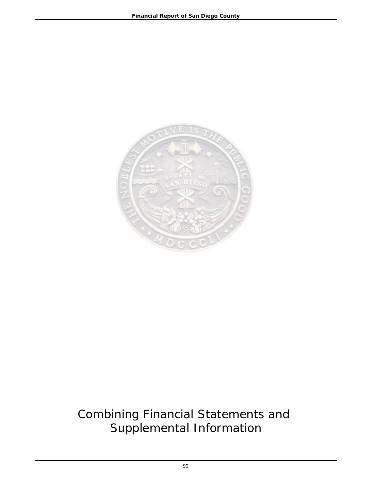

# Combining Financial Statements and Supplemental Information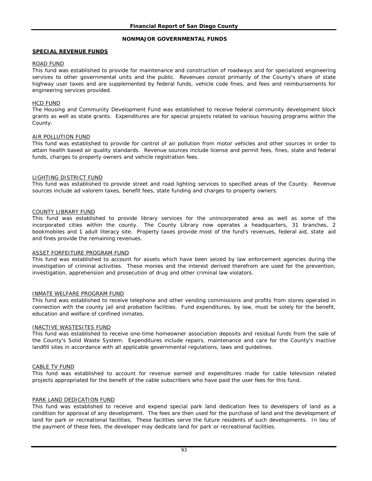### **NONMAJOR GOVERNMENTAL FUNDS**

### **SPECIAL REVENUE FUNDS**

### ROAD FUND

This fund was established to provide for maintenance and construction of roadways and for specialized engineering services to other governmental units and the public. Revenues consist primarily of the County's share of state highway user taxes and are supplemented by federal funds, vehicle code fines, and fees and reimbursements for engineering services provided.

### HCD FUND

The Housing and Community Development Fund was established to receive federal community development block grants as well as state grants. Expenditures are for special projects related to various housing programs within the County.

### AIR POLLUTION FUND

This fund was established to provide for control of air pollution from motor vehicles and other sources in order to attain health based air quality standards. Revenue sources include license and permit fees, fines, state and federal funds, charges to property owners and vehicle registration fees.

### LIGHTING DISTRICT FUND

This fund was established to provide street and road lighting services to specified areas of the County. Revenue sources include ad valorem taxes, benefit fees, state funding and charges to property owners.

### COUNTY LIBRARY FUND

This fund was established to provide library services for the unincorporated area as well as some of the incorporated cities within the county. The County Library now operates a headquarters, 31 branches, 2 bookmobiles and 1 adult literacy site. Property taxes provide most of the fund's revenues, federal aid, state aid and fines provide the remaining revenues.

#### ASSET FORFEITURE PROGRAM FUND

This fund was established to account for assets which have been seized by law enforcement agencies during the investigation of criminal activities. These monies and the interest derived therefrom are used for the prevention, investigation, apprehension and prosecution of drug and other criminal law violators.

#### INMATE WELFARE PROGRAM FUND

This fund was established to receive telephone and other vending commissions and profits from stores operated in connection with the county jail and probation facilities. Fund expenditures, by law, must be solely for the benefit, education and welfare of confined inmates.

#### INACTIVE WASTESITES FUND

This fund was established to receive one-time homeowner association deposits and residual funds from the sale of the County's Solid Waste System. Expenditures include repairs, maintenance and care for the County's inactive landfill sites in accordance with all applicable governmental regulations, laws and guidelines.

#### CABLE TV FUND

This fund was established to account for revenue earned and expenditures made for cable television related projects appropriated for the benefit of the cable subscribers who have paid the user fees for this fund.

#### PARK LAND DEDICATION FUND

This fund was established to receive and expend special park land dedication fees to developers of land as a condition for approval of any development. The fees are then used for the purchase of land and the development of land for park or recreational facilities. These facilities serve the future residents of such developments. In lieu of the payment of these fees, the developer may dedicate land for park or recreational facilities.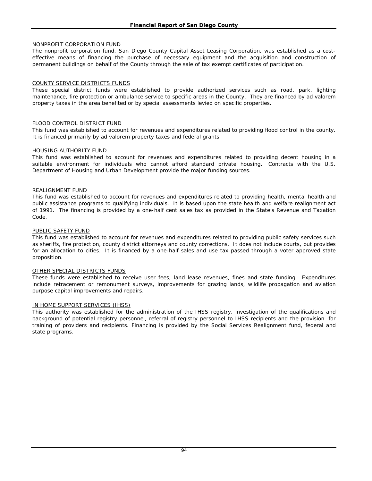### NONPROFIT CORPORATION FUND

The nonprofit corporation fund, San Diego County Capital Asset Leasing Corporation, was established as a costeffective means of financing the purchase of necessary equipment and the acquisition and construction of permanent buildings on behalf of the County through the sale of tax exempt certificates of participation.

### COUNTY SERVICE DISTRICTS FUNDS

These special district funds were established to provide authorized services such as road, park, lighting maintenance, fire protection or ambulance service to specific areas in the County. They are financed by ad valorem property taxes in the area benefited or by special assessments levied on specific properties.

### FLOOD CONTROL DISTRICT FUND

This fund was established to account for revenues and expenditures related to providing flood control in the county. It is financed primarily by ad valorem property taxes and federal grants.

### HOUSING AUTHORITY FUND

This fund was established to account for revenues and expenditures related to providing decent housing in a suitable environment for individuals who cannot afford standard private housing. Contracts with the U.S. Department of Housing and Urban Development provide the major funding sources.

### REALIGNMENT FUND

This fund was established to account for revenues and expenditures related to providing health, mental health and public assistance programs to qualifying individuals. It is based upon the state health and welfare realignment act of 1991. The financing is provided by a one-half cent sales tax as provided in the State's Revenue and Taxation Code.

### PUBLIC SAFETY FUND

This fund was established to account for revenues and expenditures related to providing public safety services such as sheriffs, fire protection, county district attorneys and county corrections. It does not include courts, but provides for an allocation to cities. It is financed by a one-half sales and use tax passed through a voter approved state proposition.

#### OTHER SPECIAL DISTRICTS FUNDS

These funds were established to receive user fees, land lease revenues, fines and state funding. Expenditures include retracement or remonument surveys, improvements for grazing lands, wildlife propagation and aviation purpose capital improvements and repairs.

#### IN HOME SUPPORT SERVICES (IHSS)

This authority was established for the administration of the IHSS registry, investigation of the qualifications and background of potential registry personnel, referral of registry personnel to IHSS recipients and the provision for training of providers and recipients. Financing is provided by the Social Services Realignment fund, federal and state programs.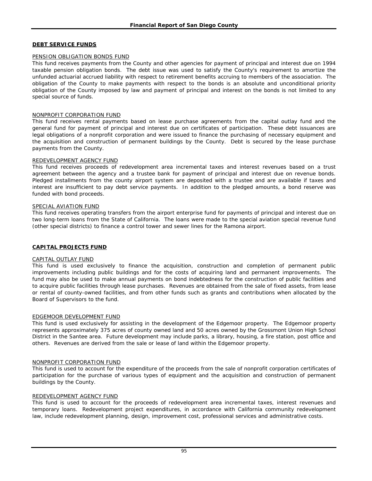### **DEBT SERVICE FUNDS**

### PENSION OBLIGATION BONDS FUND

This fund receives payments from the County and other agencies for payment of principal and interest due on 1994 taxable pension obligation bonds. The debt issue was used to satisfy the County's requirement to amortize the unfunded actuarial accrued liability with respect to retirement benefits accruing to members of the association. The obligation of the County to make payments with respect to the bonds is an absolute and unconditional priority obligation of the County imposed by law and payment of principal and interest on the bonds is not limited to any special source of funds.

### NONPROFIT CORPORATION FUND

This fund receives rental payments based on lease purchase agreements from the capital outlay fund and the general fund for payment of principal and interest due on certificates of participation. These debt issuances are legal obligations of a nonprofit corporation and were issued to finance the purchasing of necessary equipment and the acquisition and construction of permanent buildings by the County. Debt is secured by the lease purchase payments from the County.

### REDEVELOPMENT AGENCY FUND

This fund receives proceeds of redevelopment area incremental taxes and interest revenues based on a trust agreement between the agency and a trustee bank for payment of principal and interest due on revenue bonds. Pledged installments from the county airport system are deposited with a trustee and are available if taxes and interest are insufficient to pay debt service payments. In addition to the pledged amounts, a bond reserve was funded with bond proceeds.

#### SPECIAL AVIATION FUND

This fund receives operating transfers from the airport enterprise fund for payments of principal and interest due on two long-term loans from the State of California. The loans were made to the special aviation special revenue fund (other special districts) to finance a control tower and sewer lines for the Ramona airport.

### **CAPITAL PROJECTS FUND**

#### CAPITAL OUTLAY FUND

This fund is used exclusively to finance the acquisition, construction and completion of permanent public improvements including public buildings and for the costs of acquiring land and permanent improvements. The fund may also be used to make annual payments on bond indebtedness for the construction of public facilities and to acquire public facilities through lease purchases. Revenues are obtained from the sale of fixed assets, from lease or rental of county-owned facilities, and from other funds such as grants and contributions when allocated by the Board of Supervisors to the fund.

#### EDGEMOOR DEVELOPMENT FUND

This fund is used exclusively for assisting in the development of the Edgemoor property. The Edgemoor property represents approximately 375 acres of county owned land and 50 acres owned by the Grossmont Union High School District in the Santee area. Future development may include parks, a library, housing, a fire station, post office and others. Revenues are derived from the sale or lease of land within the Edgemoor property.

#### NONPROFIT CORPORATION FUND

This fund is used to account for the expenditure of the proceeds from the sale of nonprofit corporation certificates of participation for the purchase of various types of equipment and the acquisition and construction of permanent buildings by the County.

#### REDEVELOPMENT AGENCY FUND

This fund is used to account for the proceeds of redevelopment area incremental taxes, interest revenues and temporary loans. Redevelopment project expenditures, in accordance with California community redevelopment law, include redevelopment planning, design, improvement cost, professional services and administrative costs.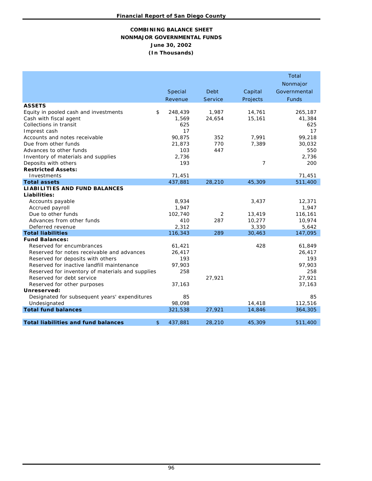### **COMBINING BALANCE SHEET NONMAJOR GOVERNMENTAL FUNDS June 30, 2002 (In Thousands)**

|                                                                                                                                                                                                                                                                                                     | Special<br>Revenue                                                             | Debt<br>Service                      | Capital<br>Projects                     | Total<br>Nonmajor<br>Governmental<br><b>Funds</b>                         |
|-----------------------------------------------------------------------------------------------------------------------------------------------------------------------------------------------------------------------------------------------------------------------------------------------------|--------------------------------------------------------------------------------|--------------------------------------|-----------------------------------------|---------------------------------------------------------------------------|
| <b>ASSETS</b><br>Equity in pooled cash and investments<br>Cash with fiscal agent<br>Collections in transit<br>Imprest cash<br>Accounts and notes receivable<br>Due from other funds<br>Advances to other funds<br>Inventory of materials and supplies<br>Deposits with others                       | \$<br>248,439<br>1,569<br>625<br>17<br>90,875<br>21,873<br>103<br>2,736<br>193 | 1,987<br>24,654<br>352<br>770<br>447 | 14,761<br>15,161<br>7,991<br>7,389<br>7 | 265,187<br>41,384<br>625<br>17<br>99,218<br>30,032<br>550<br>2,736<br>200 |
| <b>Restricted Assets:</b><br>Investments                                                                                                                                                                                                                                                            | 71,451                                                                         |                                      |                                         | 71,451                                                                    |
| <b>Total assets</b><br><b>LIABILITIES AND FUND BALANCES</b><br>Liabilities:<br>Accounts payable<br>Accrued payroll                                                                                                                                                                                  | 437,881<br>8,934<br>1,947                                                      | 28,210                               | 45,309<br>3,437                         | 511,400<br>12,371<br>1,947                                                |
| Due to other funds<br>Advances from other funds<br>Deferred revenue<br><b>Total liabilities</b>                                                                                                                                                                                                     | 102,740<br>410<br>2,312<br>116,343                                             | 2<br>287<br>289                      | 13,419<br>10,277<br>3,330<br>30,463     | 116,161<br>10,974<br>5,642<br>147,095                                     |
| <b>Fund Balances:</b><br>Reserved for encumbrances<br>Reserved for notes receivable and advances<br>Reserved for deposits with others<br>Reserved for inactive landfill maintenance<br>Reserved for inventory of materials and supplies<br>Reserved for debt service<br>Reserved for other purposes | 61,421<br>26,417<br>193<br>97,903<br>258<br>37,163                             | 27,921                               | 428                                     | 61,849<br>26,417<br>193<br>97,903<br>258<br>27,921<br>37,163              |
| Unreserved:<br>Designated for subsequent years' expenditures<br>Undesignated                                                                                                                                                                                                                        | 85<br>98,098                                                                   |                                      | 14,418                                  | 85<br>112,516                                                             |
| <b>Total fund balances</b><br><b>Total liabilities and fund balances</b>                                                                                                                                                                                                                            | \$<br>321,538<br>437,881                                                       | 27,921<br>28,210                     | 14,846<br>45,309                        | 364,305<br>511,400                                                        |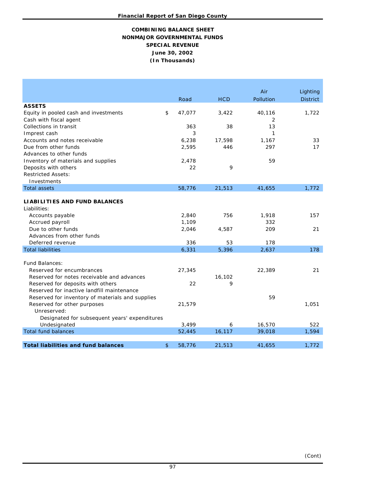# **NONMAJOR GOVERNMENTAL FUNDS COMBINING BALANCE SHEET SPECIAL REVENUE June 30, 2002 (In Thousands)**

|                                                  |              |            | Air       | Lighting        |
|--------------------------------------------------|--------------|------------|-----------|-----------------|
|                                                  | Road         | <b>HCD</b> | Pollution | <b>District</b> |
| <b>ASSETS</b>                                    |              |            |           |                 |
| Equity in pooled cash and investments            | \$<br>47,077 | 3,422      | 40,116    | 1,722           |
| Cash with fiscal agent                           |              |            | 2         |                 |
| Collections in transit                           | 363          | 38         | 13        |                 |
| Imprest cash                                     | 3            |            | 1         |                 |
| Accounts and notes receivable                    | 6,238        | 17,598     | 1,167     | 33              |
| Due from other funds                             | 2,595        | 446        | 297       | 17              |
| Advances to other funds                          |              |            |           |                 |
| Inventory of materials and supplies              | 2,478        |            | 59        |                 |
| Deposits with others                             | 22           | 9          |           |                 |
| <b>Restricted Assets:</b>                        |              |            |           |                 |
| Investments                                      |              |            |           |                 |
| <b>Total assets</b>                              | 58,776       | 21,513     | 41,655    | 1,772           |
|                                                  |              |            |           |                 |
| LIABILITIES AND FUND BALANCES                    |              |            |           |                 |
| Liabilities:                                     |              |            |           |                 |
| Accounts payable                                 | 2,840        | 756        | 1,918     | 157             |
| Accrued payroll                                  | 1,109        |            | 332       |                 |
| Due to other funds                               | 2,046        | 4,587      | 209       | 21              |
| Advances from other funds                        |              |            |           |                 |
| Deferred revenue                                 | 336          | 53         | 178       |                 |
| <b>Total liabilities</b>                         | 6,331        | 5,396      | 2,637     | 178             |
|                                                  |              |            |           |                 |
| <b>Fund Balances:</b>                            |              |            |           |                 |
| Reserved for encumbrances                        | 27,345       |            | 22,389    | 21              |
| Reserved for notes receivable and advances       |              | 16,102     |           |                 |
| Reserved for deposits with others                | 22           | 9          |           |                 |
| Reserved for inactive landfill maintenance       |              |            |           |                 |
| Reserved for inventory of materials and supplies |              |            | 59        |                 |
| Reserved for other purposes                      | 21,579       |            |           | 1,051           |
| Unreserved:                                      |              |            |           |                 |
| Designated for subsequent years' expenditures    |              |            |           |                 |
| Undesignated                                     | 3.499        | 6          | 16,570    | 522             |
| <b>Total fund balances</b>                       | 52,445       | 16,117     | 39,018    | 1,594           |
|                                                  |              |            |           |                 |
| <b>Total liabilities and fund balances</b>       | \$<br>58,776 | 21,513     | 41,655    | 1,772           |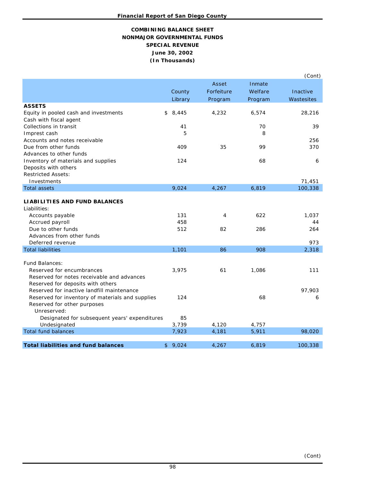# **COMBINING BALANCE SHEET NONMAJOR GOVERNMENTAL FUNDS (In Thousands) June 30, 2002 SPECIAL REVENUE**

|                                                                         |             |            |         | (Cont)     |
|-------------------------------------------------------------------------|-------------|------------|---------|------------|
|                                                                         |             | Asset      | Inmate  |            |
|                                                                         | County      | Forfeiture | Welfare | Inactive   |
|                                                                         | Library     | Program    | Program | Wastesites |
| <b>ASSETS</b>                                                           |             |            |         |            |
| Equity in pooled cash and investments                                   | \$<br>8,445 | 4,232      | 6,574   | 28,216     |
| Cash with fiscal agent                                                  |             |            |         |            |
| Collections in transit                                                  | 41          |            | 70      | 39         |
| Imprest cash<br>Accounts and notes receivable                           | 5           |            | 8       | 256        |
| Due from other funds                                                    | 409         | 35         | 99      | 370        |
| Advances to other funds                                                 |             |            |         |            |
| Inventory of materials and supplies                                     | 124         |            | 68      | 6          |
| Deposits with others                                                    |             |            |         |            |
| <b>Restricted Assets:</b>                                               |             |            |         |            |
| Investments                                                             |             |            |         | 71,451     |
| <b>Total assets</b>                                                     | 9,024       | 4,267      | 6,819   | 100,338    |
|                                                                         |             |            |         |            |
| <b>LIABILITIES AND FUND BALANCES</b><br>Liabilities:                    |             |            |         |            |
| Accounts payable                                                        | 131         | 4          | 622     | 1,037      |
| Accrued payroll                                                         | 458         |            |         | 44         |
| Due to other funds                                                      | 512         | 82         | 286     | 264        |
| Advances from other funds                                               |             |            |         |            |
| Deferred revenue                                                        |             |            |         | 973        |
| <b>Total liabilities</b>                                                | 1,101       | 86         | 908     | 2,318      |
|                                                                         |             |            |         |            |
| <b>Fund Balances:</b>                                                   |             |            |         |            |
| Reserved for encumbrances<br>Reserved for notes receivable and advances | 3,975       | 61         | 1.086   | 111        |
| Reserved for deposits with others                                       |             |            |         |            |
| Reserved for inactive landfill maintenance                              |             |            |         | 97,903     |
| Reserved for inventory of materials and supplies                        | 124         |            | 68      | 6          |
| Reserved for other purposes                                             |             |            |         |            |
| Unreserved:                                                             |             |            |         |            |
| Designated for subsequent years' expenditures                           | 85          |            |         |            |
| Undesignated                                                            | 3,739       | 4,120      | 4,757   |            |
| <b>Total fund balances</b>                                              | 7,923       | 4,181      | 5,911   | 98,020     |
| <b>Total liabilities and fund balances</b>                              | \$<br>9,024 | 4,267      | 6,819   | 100,338    |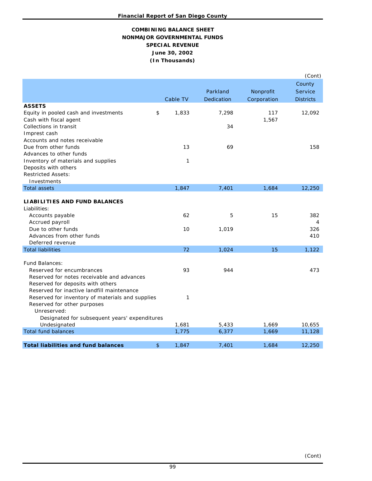# **NONMAJOR GOVERNMENTAL FUNDS June 30, 2002 COMBINING BALANCE SHEET (In Thousands) SPECIAL REVENUE**

|                                                                                                |                |          |            |             | (Cont)           |
|------------------------------------------------------------------------------------------------|----------------|----------|------------|-------------|------------------|
|                                                                                                |                |          |            |             | County           |
|                                                                                                |                |          | Parkland   | Nonprofit   | <b>Service</b>   |
|                                                                                                |                | Cable TV | Dedication | Corporation | <b>Districts</b> |
| <b>ASSETS</b>                                                                                  |                |          |            |             |                  |
| Equity in pooled cash and investments                                                          | \$             | 1,833    | 7,298      | 117         | 12,092           |
| Cash with fiscal agent                                                                         |                |          |            | 1,567       |                  |
| Collections in transit                                                                         |                |          | 34         |             |                  |
| Imprest cash<br>Accounts and notes receivable                                                  |                |          |            |             |                  |
| Due from other funds                                                                           |                | 13       | 69         |             | 158              |
| Advances to other funds                                                                        |                |          |            |             |                  |
| Inventory of materials and supplies                                                            |                | 1        |            |             |                  |
| Deposits with others                                                                           |                |          |            |             |                  |
| <b>Restricted Assets:</b>                                                                      |                |          |            |             |                  |
| Investments                                                                                    |                |          |            |             |                  |
| <b>Total assets</b>                                                                            |                | 1,847    | 7,401      | 1,684       | 12,250           |
|                                                                                                |                |          |            |             |                  |
| <b>LIABILITIES AND FUND BALANCES</b>                                                           |                |          |            |             |                  |
| Liabilities:                                                                                   |                | 62       |            | 15          |                  |
| Accounts payable<br>Accrued payroll                                                            |                |          | 5          |             | 382<br>4         |
| Due to other funds                                                                             |                | 10       | 1,019      |             | 326              |
| Advances from other funds                                                                      |                |          |            |             | 410              |
| Deferred revenue                                                                               |                |          |            |             |                  |
| <b>Total liabilities</b>                                                                       |                | 72       | 1,024      | 15          | 1,122            |
|                                                                                                |                |          |            |             |                  |
| <b>Fund Balances:</b>                                                                          |                |          |            |             |                  |
| Reserved for encumbrances                                                                      |                | 93       | 944        |             | 473              |
| Reserved for notes receivable and advances                                                     |                |          |            |             |                  |
| Reserved for deposits with others                                                              |                |          |            |             |                  |
| Reserved for inactive landfill maintenance<br>Reserved for inventory of materials and supplies |                | 1        |            |             |                  |
| Reserved for other purposes                                                                    |                |          |            |             |                  |
| Unreserved:                                                                                    |                |          |            |             |                  |
| Designated for subsequent years' expenditures                                                  |                |          |            |             |                  |
| Undesignated                                                                                   |                | 1,681    | 5,433      | 1,669       | 10,655           |
| <b>Total fund balances</b>                                                                     |                | 1,775    | 6,377      | 1,669       | 11,128           |
|                                                                                                |                |          |            |             |                  |
| <b>Total liabilities and fund balances</b>                                                     | $\mathfrak{S}$ | 1,847    | 7,401      | 1,684       | 12,250           |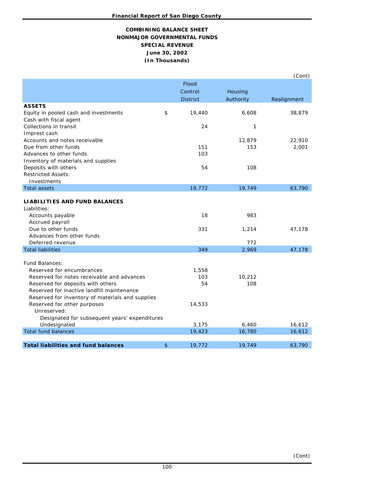# **NONMAJOR GOVERNMENTAL FUNDS COMBINING BALANCE SHEET June 30, 2002 (In Thousands) SPECIAL REVENUE**

|                                                  |                 |           | (Cont)      |
|--------------------------------------------------|-----------------|-----------|-------------|
|                                                  | Flood           |           |             |
|                                                  | Control         | Housing   |             |
|                                                  | <b>District</b> | Authority | Realignment |
| <b>ASSETS</b>                                    |                 |           |             |
| Equity in pooled cash and investments            | \$<br>19,440    | 6,608     | 38,879      |
| Cash with fiscal agent                           |                 |           |             |
| Collections in transit                           | 24              | 1         |             |
| Imprest cash                                     |                 |           |             |
| Accounts and notes receivable                    |                 | 12,879    | 22,910      |
| Due from other funds                             | 151             | 153       | 2,001       |
| Advances to other funds                          | 103             |           |             |
| Inventory of materials and supplies              |                 |           |             |
| Deposits with others                             | 54              | 108       |             |
| <b>Restricted Assets:</b>                        |                 |           |             |
| Investments                                      |                 |           |             |
| <b>Total assets</b>                              | 19,772          | 19,749    | 63,790      |
| <b>LIABILITIES AND FUND BALANCES</b>             |                 |           |             |
| Liabilities:                                     |                 |           |             |
| Accounts payable                                 | 18              | 983       |             |
| Accrued payroll                                  |                 |           |             |
| Due to other funds                               | 331             | 1,214     | 47,178      |
| Advances from other funds                        |                 |           |             |
| Deferred revenue                                 |                 | 772       |             |
| <b>Total liabilities</b>                         | 349             | 2,969     | 47,178      |
|                                                  |                 |           |             |
| <b>Fund Balances:</b>                            |                 |           |             |
| Reserved for encumbrances                        | 1,558           |           |             |
| Reserved for notes receivable and advances       | 103             | 10,212    |             |
| Reserved for deposits with others                | 54              | 108       |             |
| Reserved for inactive landfill maintenance       |                 |           |             |
| Reserved for inventory of materials and supplies |                 |           |             |
| Reserved for other purposes                      | 14,533          |           |             |
| Unreserved:                                      |                 |           |             |
| Designated for subsequent years' expenditures    |                 |           |             |
| Undesignated                                     | 3,175           | 6,460     | 16,612      |
| <b>Total fund balances</b>                       | 19,423          | 16,780    | 16,612      |
| <b>Total liabilities and fund balances</b>       |                 |           |             |
|                                                  | \$<br>19,772    | 19,749    | 63,790      |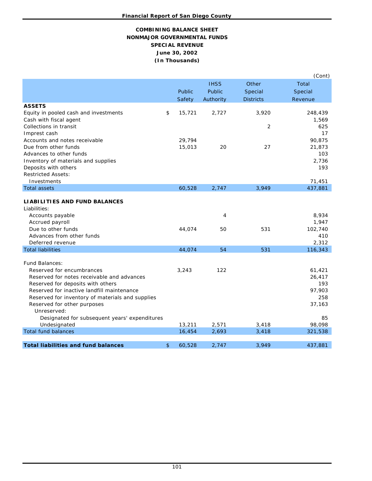# **COMBINING BALANCE SHEET NONMAJOR GOVERNMENTAL FUNDS SPECIAL REVENUE (In Thousands) June 30, 2002**

|                                                       |                  |             |                  | (Cont)           |
|-------------------------------------------------------|------------------|-------------|------------------|------------------|
|                                                       |                  | <b>IHSS</b> | Other            | <b>Total</b>     |
|                                                       | Public           | Public      | Special          | Special          |
|                                                       | Safety           | Authority   | <b>Districts</b> | Revenue          |
| <b>ASSETS</b>                                         |                  |             |                  |                  |
| Equity in pooled cash and investments                 | \$<br>15,721     | 2,727       | 3,920            | 248,439          |
| Cash with fiscal agent                                |                  |             |                  | 1,569            |
| Collections in transit                                |                  |             | 2                | 625              |
| Imprest cash                                          |                  |             |                  | 17               |
| Accounts and notes receivable<br>Due from other funds | 29,794<br>15,013 | 20          | 27               | 90,875<br>21,873 |
| Advances to other funds                               |                  |             |                  | 103              |
| Inventory of materials and supplies                   |                  |             |                  | 2,736            |
| Deposits with others                                  |                  |             |                  | 193              |
| <b>Restricted Assets:</b>                             |                  |             |                  |                  |
| Investments                                           |                  |             |                  | 71,451           |
| <b>Total assets</b>                                   | 60,528           | 2,747       | 3,949            | 437,881          |
|                                                       |                  |             |                  |                  |
| <b>LIABILITIES AND FUND BALANCES</b>                  |                  |             |                  |                  |
| Liabilities:                                          |                  |             |                  |                  |
| Accounts payable                                      |                  | 4           |                  | 8,934            |
| Accrued payroll                                       |                  |             |                  | 1,947            |
| Due to other funds                                    | 44,074           | 50          | 531              | 102,740          |
| Advances from other funds                             |                  |             |                  | 410              |
| Deferred revenue<br><b>Total liabilities</b>          | 44,074           | 54          | 531              | 2,312<br>116,343 |
|                                                       |                  |             |                  |                  |
| Fund Balances:                                        |                  |             |                  |                  |
| Reserved for encumbrances                             | 3,243            | 122         |                  | 61,421           |
| Reserved for notes receivable and advances            |                  |             |                  | 26,417           |
| Reserved for deposits with others                     |                  |             |                  | 193              |
| Reserved for inactive landfill maintenance            |                  |             |                  | 97,903           |
| Reserved for inventory of materials and supplies      |                  |             |                  | 258              |
| Reserved for other purposes                           |                  |             |                  | 37,163           |
| Unreserved:                                           |                  |             |                  |                  |
| Designated for subsequent years' expenditures         |                  |             |                  | 85               |
| Undesignated                                          | 13,211           | 2,571       | 3,418            | 98,098           |
| <b>Total fund balances</b>                            | 16,454           | 2,693       | 3,418            | 321,538          |
| <b>Total liabilities and fund balances</b>            | \$<br>60,528     | 2,747       | 3,949            | 437,881          |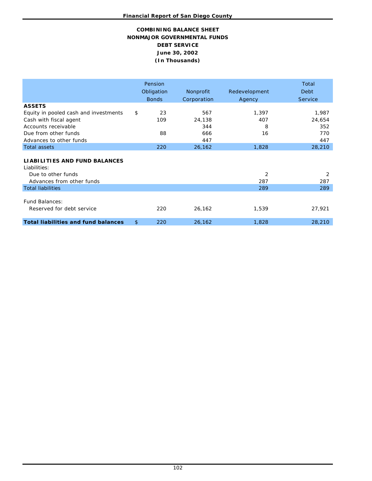# **DEBT SERVICE NONMAJOR GOVERNMENTAL FUNDS June 30, 2002 COMBINING BALANCE SHEET (In Thousands)**

|                                                      | Pension<br>Obligation<br><b>Bonds</b> | Nonprofit<br>Corporation | Redevelopment<br>Agency | Total<br><b>Debt</b><br>Service |
|------------------------------------------------------|---------------------------------------|--------------------------|-------------------------|---------------------------------|
| <b>ASSETS</b>                                        |                                       |                          |                         |                                 |
| Equity in pooled cash and investments                | \$<br>23                              | 567                      | 1,397                   | 1,987                           |
| Cash with fiscal agent                               | 109                                   | 24,138                   | 407                     | 24,654                          |
| Accounts receivable                                  |                                       | 344                      | 8                       | 352                             |
| Due from other funds                                 | 88                                    | 666                      | 16                      | 770                             |
| Advances to other funds                              |                                       | 447                      |                         | 447                             |
| <b>Total assets</b>                                  | 220                                   | 26,162                   | 1,828                   | 28,210                          |
| <b>LIABILITIES AND FUND BALANCES</b><br>Liabilities: |                                       |                          |                         |                                 |
| Due to other funds                                   |                                       |                          | 2                       | 2                               |
| Advances from other funds                            |                                       |                          | 287                     | 287                             |
| <b>Total liabilities</b>                             |                                       |                          | 289                     | 289                             |
| <b>Fund Balances:</b><br>Reserved for debt service   | 220                                   | 26,162                   | 1,539                   | 27,921                          |
| <b>Total liabilities and fund balances</b>           | \$<br>220                             | 26,162                   | 1,828                   | 28,210                          |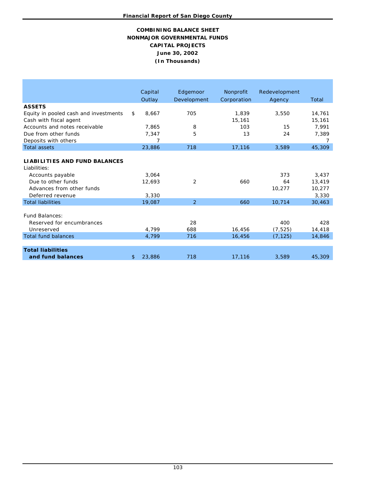# **NONMAJOR GOVERNMENTAL FUNDS June 30, 2002 COMBINING BALANCE SHEET CAPITAL PROJECTS (In Thousands)**

|                                       | Capital      | Edgemoor       | Nonprofit   | Redevelopment |        |
|---------------------------------------|--------------|----------------|-------------|---------------|--------|
|                                       | Outlay       | Development    | Corporation | Agency        | Total  |
| <b>ASSETS</b>                         |              |                |             |               |        |
| Equity in pooled cash and investments | \$<br>8,667  | 705            | 1,839       | 3,550         | 14,761 |
| Cash with fiscal agent                |              |                | 15,161      |               | 15,161 |
| Accounts and notes receivable         | 7,865        | 8              | 103         | 15            | 7,991  |
| Due from other funds                  | 7,347        | 5              | 13          | 24            | 7,389  |
| Deposits with others                  | 7            |                |             |               | 7      |
| <b>Total assets</b>                   | 23,886       | 718            | 17,116      | 3,589         | 45,309 |
|                                       |              |                |             |               |        |
| <b>LIABILITIES AND FUND BALANCES</b>  |              |                |             |               |        |
| Liabilities:                          |              |                |             |               |        |
| Accounts payable                      | 3.064        |                |             | 373           | 3.437  |
| Due to other funds                    | 12,693       | 2              | 660         | 64            | 13,419 |
| Advances from other funds             |              |                |             | 10,277        | 10,277 |
| Deferred revenue                      | 3,330        |                |             |               | 3,330  |
| <b>Total liabilities</b>              | 19,087       | $\overline{2}$ | 660         | 10,714        | 30,463 |
|                                       |              |                |             |               |        |
| Fund Balances:                        |              |                |             |               |        |
| Reserved for encumbrances             |              | 28             |             | 400           | 428    |
| Unreserved                            | 4,799        | 688            | 16,456      | (7, 525)      | 14,418 |
| <b>Total fund balances</b>            | 4,799        | 716            | 16,456      | (7, 125)      | 14,846 |
|                                       |              |                |             |               |        |
| <b>Total liabilities</b>              |              |                |             |               |        |
| and fund balances                     | \$<br>23,886 | 718            | 17,116      | 3,589         | 45,309 |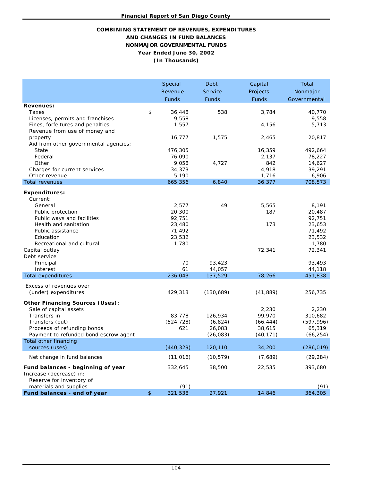# **(In Thousands) COMBINING STATEMENT OF REVENUES, EXPENDITURES AND CHANGES IN FUND BALANCES NONMAJOR GOVERNMENTAL FUNDS Year Ended June 30, 2002**

|                                                                   | Special          | Debt           | Capital      | Total            |
|-------------------------------------------------------------------|------------------|----------------|--------------|------------------|
|                                                                   | Revenue          | <b>Service</b> | Projects     | Nonmajor         |
|                                                                   | <b>Funds</b>     | <b>Funds</b>   | <b>Funds</b> | Governmental     |
| <b>Revenues:</b>                                                  |                  |                |              |                  |
| Taxes                                                             | \$<br>36,448     | 538            | 3,784        | 40,770           |
| Licenses, permits and franchises                                  | 9,558            |                |              | 9,558            |
| Fines, forfeitures and penalties<br>Revenue from use of money and | 1,557            |                | 4,156        | 5,713            |
| property                                                          | 16,777           | 1,575          | 2,465        | 20,817           |
| Aid from other governmental agencies:                             |                  |                |              |                  |
| State                                                             | 476,305          |                | 16,359       | 492,664          |
| Federal                                                           | 76,090           |                | 2,137        | 78,227           |
| Other                                                             | 9,058            | 4,727          | 842          | 14,627           |
| Charges for current services                                      | 34,373           |                | 4,918        | 39,291           |
| Other revenue<br><b>Total revenues</b>                            | 5,190            | 6,840          | 1,716        | 6,906            |
|                                                                   | 665,356          |                | 36,377       | 708,573          |
| <b>Expenditures:</b>                                              |                  |                |              |                  |
| Current:                                                          |                  |                |              |                  |
| General                                                           | 2,577            | 49             | 5,565        | 8,191            |
| Public protection                                                 | 20,300           |                | 187          | 20,487           |
| Public ways and facilities<br>Health and sanitation               | 92,751<br>23,480 |                | 173          | 92,751<br>23,653 |
| Public assistance                                                 | 71,492           |                |              | 71,492           |
| Education                                                         | 23,532           |                |              | 23,532           |
| Recreational and cultural                                         | 1,780            |                |              | 1,780            |
| Capital outlay                                                    |                  |                | 72,341       | 72,341           |
| Debt service                                                      |                  |                |              |                  |
| Principal                                                         | 70               | 93,423         |              | 93,493           |
| Interest                                                          | 61               | 44,057         |              | 44,118           |
| <b>Total expenditures</b>                                         | 236,043          | 137,529        | 78,266       | 451,838          |
| Excess of revenues over                                           |                  |                |              |                  |
| (under) expenditures                                              | 429,313          | (130, 689)     | (41, 889)    | 256,735          |
| <b>Other Financing Sources (Uses):</b>                            |                  |                |              |                  |
| Sale of capital assets                                            |                  |                | 2,230        | 2,230            |
| Transfers in                                                      | 83,778           | 126,934        | 99,970       | 310,682          |
| Transfers (out)                                                   | (524, 728)       | (6, 824)       | (66, 444)    | (597, 996)       |
| Proceeds of refunding bonds                                       | 621              | 26,083         | 38,615       | 65,319           |
| Payment to refunded bond escrow agent                             |                  | (26, 083)      | (40, 171)    | (66, 254)        |
| Total other financing                                             |                  |                |              |                  |
| sources (uses)                                                    | (440, 329)       | 120,110        | 34,200       | (286, 019)       |
| Net change in fund balances                                       | (11, 016)        | (10, 579)      | (7,689)      | (29, 284)        |
| Fund balances - beginning of year<br>Increase (decrease) in:      | 332,645          | 38,500         | 22,535       | 393,680          |
| Reserve for inventory of<br>materials and supplies                | (91)             |                |              | (91)             |
| Fund balances - end of year                                       | \$<br>321,538    | 27,921         | 14,846       | 364,305          |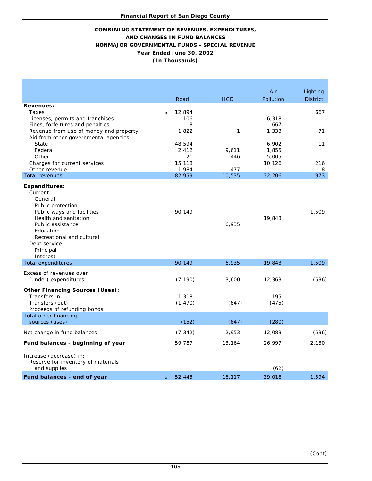# **COMBINING STATEMENT OF REVENUES, EXPENDITURES, AND CHANGES IN FUND BALANCES NONMAJOR GOVERNMENTAL FUNDS - SPECIAL REVENUE Year Ended June 30, 2002 (In Thousands)**

|                                                                                                                                                                                                                                 |                          |            | Air                     | Lighting        |
|---------------------------------------------------------------------------------------------------------------------------------------------------------------------------------------------------------------------------------|--------------------------|------------|-------------------------|-----------------|
|                                                                                                                                                                                                                                 | Road                     | <b>HCD</b> | Pollution               | <b>District</b> |
| <b>Revenues:</b><br>Taxes<br>Licenses, permits and franchises<br>Fines, forfeitures and penalties                                                                                                                               | \$<br>12,894<br>106<br>8 |            | 6,318<br>667            | 667             |
| Revenue from use of money and property<br>Aid from other governmental agencies:<br>State<br>Federal                                                                                                                             | 1,822<br>48,594<br>2,412 | 1<br>9,611 | 1,333<br>6,902<br>1,855 | 71<br>11        |
| Other<br>Charges for current services<br>Other revenue                                                                                                                                                                          | 21<br>15,118<br>1,984    | 446<br>477 | 5,005<br>10,126         | 216<br>8        |
| <b>Total revenues</b>                                                                                                                                                                                                           | 82,959                   | 10,535     | 32,206                  | 973             |
| <b>Expenditures:</b><br>Current:<br>General<br>Public protection<br>Public ways and facilities<br>Health and sanitation<br>Public assistance<br>Education<br>Recreational and cultural<br>Debt service<br>Principal<br>Interest | 90,149                   | 6,935      | 19,843                  | 1,509           |
| <b>Total expenditures</b>                                                                                                                                                                                                       | 90,149                   | 6,935      | 19,843                  | 1,509           |
| Excess of revenues over<br>(under) expenditures                                                                                                                                                                                 | (7, 190)                 | 3,600      | 12,363                  | (536)           |
| <b>Other Financing Sources (Uses):</b><br>Transfers in<br>Transfers (out)<br>Proceeds of refunding bonds                                                                                                                        | 1,318<br>(1, 470)        | (647)      | 195<br>(475)            |                 |
| Total other financing<br>sources (uses)                                                                                                                                                                                         | (152)                    | (647)      | (280)                   |                 |
| Net change in fund balances                                                                                                                                                                                                     | (7, 342)                 | 2,953      | 12,083                  | (536)           |
| Fund balances - beginning of year                                                                                                                                                                                               | 59,787                   | 13,164     | 26,997                  | 2,130           |
| Increase (decrease) in:<br>Reserve for inventory of materials<br>and supplies                                                                                                                                                   |                          |            | (62)                    |                 |
| Fund balances - end of year                                                                                                                                                                                                     | \$<br>52,445             | 16,117     | 39,018                  | 1,594           |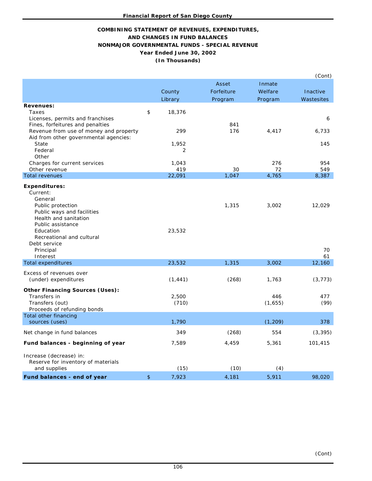# **Year Ended June 30, 2002 (In Thousands) COMBINING STATEMENT OF REVENUES, EXPENDITURES, AND CHANGES IN FUND BALANCES NONMAJOR GOVERNMENTAL FUNDS - SPECIAL REVENUE**

|                                                                                                                                                                                                        |                   |            |                | (Cont)       |
|--------------------------------------------------------------------------------------------------------------------------------------------------------------------------------------------------------|-------------------|------------|----------------|--------------|
|                                                                                                                                                                                                        |                   | Asset      | Inmate         |              |
|                                                                                                                                                                                                        | County            | Forfeiture | Welfare        | Inactive     |
|                                                                                                                                                                                                        | Library           | Program    | Program        | Wastesites   |
| <b>Revenues:</b><br>Taxes<br>Licenses, permits and franchises<br>Fines, forfeitures and penalties                                                                                                      | \$<br>18,376      | 841        |                | 6            |
| Revenue from use of money and property<br>Aid from other governmental agencies:<br><b>State</b><br>Federal<br>Other                                                                                    | 299<br>1,952<br>2 | 176        | 4,417          | 6,733<br>145 |
| Charges for current services                                                                                                                                                                           | 1,043             |            | 276            | 954          |
| Other revenue                                                                                                                                                                                          | 419               | 30         | 72             | 549          |
| <b>Total revenues</b>                                                                                                                                                                                  | 22,091            | 1,047      | 4,765          | 8,387        |
| <b>Expenditures:</b><br>Current:<br>General<br>Public protection<br>Public ways and facilities<br>Health and sanitation<br>Public assistance<br>Education<br>Recreational and cultural<br>Debt service | 23,532            | 1,315      | 3,002          | 12,029       |
| Principal                                                                                                                                                                                              |                   |            |                | 70           |
| Interest                                                                                                                                                                                               |                   |            |                | 61           |
| <b>Total expenditures</b>                                                                                                                                                                              | 23,532            | 1,315      | 3,002          | 12,160       |
| Excess of revenues over<br>(under) expenditures                                                                                                                                                        | (1, 441)          | (268)      | 1,763          | (3, 773)     |
| <b>Other Financing Sources (Uses):</b><br>Transfers in<br>Transfers (out)<br>Proceeds of refunding bonds<br>Total other financing                                                                      | 2,500<br>(710)    |            | 446<br>(1,655) | 477<br>(99)  |
| sources (uses)                                                                                                                                                                                         | 1,790             |            | (1, 209)       | 378          |
| Net change in fund balances                                                                                                                                                                            | 349               | (268)      | 554            | (3, 395)     |
| Fund balances - beginning of year                                                                                                                                                                      | 7,589             | 4,459      | 5,361          | 101,415      |
| Increase (decrease) in:<br>Reserve for inventory of materials<br>and supplies                                                                                                                          | (15)              | (10)       | (4)            |              |
| Fund balances - end of year                                                                                                                                                                            | \$<br>7,923       | 4,181      | 5,911          | 98,020       |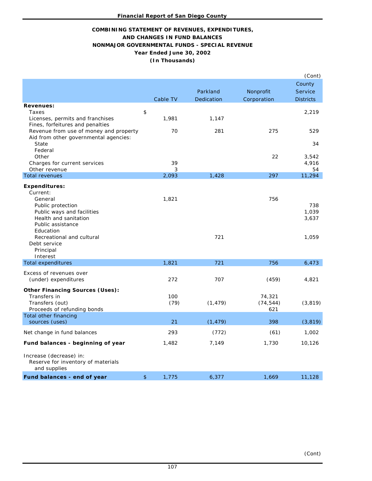# **NONMAJOR GOVERNMENTAL FUNDS - SPECIAL REVENUE Year Ended June 30, 2002 COMBINING STATEMENT OF REVENUES, EXPENDITURES, AND CHANGES IN FUND BALANCES (In Thousands)**

|                                                                                                                                                                                        |             |                         |                            | (Cont)                         |
|----------------------------------------------------------------------------------------------------------------------------------------------------------------------------------------|-------------|-------------------------|----------------------------|--------------------------------|
|                                                                                                                                                                                        |             |                         |                            | County                         |
|                                                                                                                                                                                        |             | Parkland                | Nonprofit                  | Service                        |
|                                                                                                                                                                                        | Cable TV    | Dedication              | Corporation                | <b>Districts</b>               |
| <b>Revenues:</b><br>Taxes<br>Licenses, permits and franchises                                                                                                                          | \$<br>1,981 | 1,147                   |                            | 2,219                          |
| Fines, forfeitures and penalties<br>Revenue from use of money and property<br>Aid from other governmental agencies:<br>State                                                           |             | 70<br>281               | 275                        | 529<br>34                      |
| Federal<br>Other<br>Charges for current services<br>Other revenue                                                                                                                      |             | 39<br>3                 | 22                         | 3,542<br>4,916<br>54           |
| <b>Total revenues</b>                                                                                                                                                                  | 2,093       | 1,428                   | 297                        | 11,294                         |
| <b>Expenditures:</b><br>Current:<br>General<br>Public protection<br>Public ways and facilities<br>Health and sanitation<br>Public assistance<br>Education<br>Recreational and cultural | 1,821       | 721                     | 756                        | 738<br>1,039<br>3,637<br>1,059 |
| Debt service<br>Principal<br>Interest                                                                                                                                                  |             |                         |                            |                                |
| <b>Total expenditures</b>                                                                                                                                                              | 1,821       | 721                     | 756                        | 6,473                          |
| Excess of revenues over<br>(under) expenditures                                                                                                                                        |             | 272<br>707              | (459)                      | 4,821                          |
| <b>Other Financing Sources (Uses):</b><br>Transfers in<br>Transfers (out)<br>Proceeds of refunding bonds                                                                               |             | 100<br>(79)<br>(1, 479) | 74,321<br>(74, 544)<br>621 | (3, 819)                       |
| Total other financing<br>sources (uses)                                                                                                                                                |             | 21<br>(1, 479)          | 398                        | (3, 819)                       |
| Net change in fund balances                                                                                                                                                            |             | 293<br>(772)            | (61)                       | 1,002                          |
| Fund balances - beginning of year                                                                                                                                                      | 1,482       | 7,149                   | 1,730                      | 10,126                         |
| Increase (decrease) in:<br>Reserve for inventory of materials<br>and supplies                                                                                                          |             |                         |                            |                                |
| Fund balances - end of year                                                                                                                                                            | \$<br>1,775 | 6,377                   | 1,669                      | 11,128                         |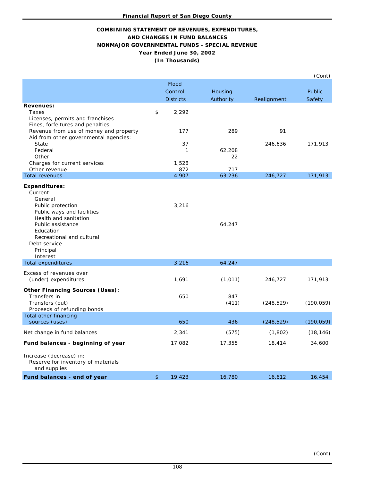# **COMBINING STATEMENT OF REVENUES, EXPENDITURES, AND CHANGES IN FUND BALANCES (In Thousands) NONMAJOR GOVERNMENTAL FUNDS - SPECIAL REVENUE Year Ended June 30, 2002**

|                                                                                                                                                                                                                                 |                  |              |             | (Cont)        |
|---------------------------------------------------------------------------------------------------------------------------------------------------------------------------------------------------------------------------------|------------------|--------------|-------------|---------------|
|                                                                                                                                                                                                                                 | <b>Flood</b>     |              |             |               |
|                                                                                                                                                                                                                                 | Control          | Housing      |             | <b>Public</b> |
|                                                                                                                                                                                                                                 | <b>Districts</b> | Authority    | Realignment | Safety        |
| <b>Revenues:</b><br>Taxes<br>Licenses, permits and franchises<br>Fines, forfeitures and penalties                                                                                                                               | \$<br>2,292      |              |             |               |
| Revenue from use of money and property<br>Aid from other governmental agencies:                                                                                                                                                 | 177              | 289          | 91          |               |
| State                                                                                                                                                                                                                           | 37               |              | 246,636     | 171,913       |
| Federal                                                                                                                                                                                                                         | $\mathbf{1}$     | 62,208       |             |               |
| Other                                                                                                                                                                                                                           |                  | 22           |             |               |
| Charges for current services<br>Other revenue                                                                                                                                                                                   | 1,528<br>872     | 717          |             |               |
| <b>Total revenues</b>                                                                                                                                                                                                           | 4,907            | 63,236       | 246,727     | 171,913       |
| <b>Expenditures:</b><br>Current:<br>General<br>Public protection<br>Public ways and facilities<br>Health and sanitation<br>Public assistance<br>Education<br>Recreational and cultural<br>Debt service<br>Principal<br>Interest | 3,216            | 64,247       |             |               |
| <b>Total expenditures</b>                                                                                                                                                                                                       | 3,216            | 64,247       |             |               |
| Excess of revenues over<br>(under) expenditures                                                                                                                                                                                 | 1,691            | (1, 011)     | 246,727     | 171,913       |
| <b>Other Financing Sources (Uses):</b><br>Transfers in<br>Transfers (out)<br>Proceeds of refunding bonds                                                                                                                        | 650              | 847<br>(411) | (248, 529)  | (190, 059)    |
| Total other financing<br>sources (uses)                                                                                                                                                                                         | 650              | 436          | (248, 529)  | (190, 059)    |
| Net change in fund balances                                                                                                                                                                                                     | 2,341            | (575)        | (1,802)     | (18, 146)     |
| Fund balances - beginning of year                                                                                                                                                                                               | 17,082           | 17,355       | 18,414      | 34,600        |
| Increase (decrease) in:<br>Reserve for inventory of materials<br>and supplies                                                                                                                                                   |                  |              |             |               |
| Fund balances - end of year                                                                                                                                                                                                     | \$<br>19,423     | 16,780       | 16,612      | 16,454        |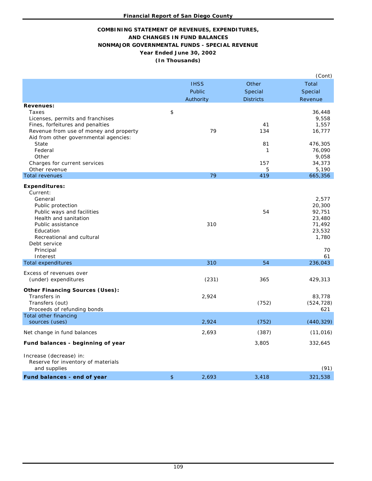# **AND CHANGES IN FUND BALANCES NONMAJOR GOVERNMENTAL FUNDS - SPECIAL REVENUE COMBINING STATEMENT OF REVENUES, EXPENDITURES, Year Ended June 30, 2002 (In Thousands)**

|                                                                                                                                                                                                                                                   |             |                             | (Cont)                                                                       |
|---------------------------------------------------------------------------------------------------------------------------------------------------------------------------------------------------------------------------------------------------|-------------|-----------------------------|------------------------------------------------------------------------------|
|                                                                                                                                                                                                                                                   | <b>IHSS</b> | Other                       | Total                                                                        |
|                                                                                                                                                                                                                                                   | Public      | Special                     | Special                                                                      |
|                                                                                                                                                                                                                                                   | Authority   | <b>Districts</b>            | Revenue                                                                      |
| <b>Revenues:</b><br>Taxes<br>Licenses, permits and franchises<br>Fines, forfeitures and penalties<br>Revenue from use of money and property<br>Aid from other governmental agencies:<br>State<br>Federal<br>Other<br>Charges for current services | \$<br>79    | 41<br>134<br>81<br>1<br>157 | 36,448<br>9,558<br>1,557<br>16,777<br>476,305<br>76,090<br>9,058<br>34,373   |
| Other revenue<br><b>Total revenues</b>                                                                                                                                                                                                            | 79          | 5<br>419                    | 5,190<br>665,356                                                             |
| <b>Expenditures:</b><br>Current:<br>General<br>Public protection<br>Public ways and facilities<br>Health and sanitation<br>Public assistance<br>Education<br>Recreational and cultural<br>Debt service<br>Principal<br>Interest                   | 310         | 54                          | 2,577<br>20,300<br>92,751<br>23,480<br>71,492<br>23,532<br>1,780<br>70<br>61 |
| <b>Total expenditures</b>                                                                                                                                                                                                                         | 310         | 54                          | 236,043                                                                      |
| Excess of revenues over<br>(under) expenditures                                                                                                                                                                                                   | (231)       | 365                         | 429,313                                                                      |
| <b>Other Financing Sources (Uses):</b><br>Transfers in<br>Transfers (out)<br>Proceeds of refunding bonds                                                                                                                                          | 2,924       | (752)                       | 83,778<br>(524, 728)<br>621                                                  |
| Total other financing<br>sources (uses)                                                                                                                                                                                                           | 2,924       | (752)                       | (440, 329)                                                                   |
| Net change in fund balances                                                                                                                                                                                                                       | 2,693       | (387)                       | (11, 016)                                                                    |
| Fund balances - beginning of year                                                                                                                                                                                                                 |             | 3,805                       | 332,645                                                                      |
| Increase (decrease) in:<br>Reserve for inventory of materials<br>and supplies                                                                                                                                                                     |             |                             | (91)                                                                         |
| Fund balances - end of year                                                                                                                                                                                                                       | \$<br>2,693 | 3,418                       | 321,538                                                                      |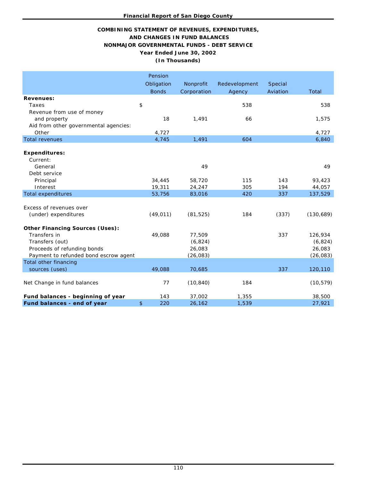# **COMBINING STATEMENT OF REVENUES, EXPENDITURES, AND CHANGES IN FUND BALANCES NONMAJOR GOVERNMENTAL FUNDS - DEBT SERVICE Year Ended June 30, 2002 (In Thousands)**

|                                        | Pension<br>Obligation | Nonprofit   | Redevelopment | Special  |           |
|----------------------------------------|-----------------------|-------------|---------------|----------|-----------|
|                                        | <b>Bonds</b>          | Corporation | Agency        | Aviation | Total     |
| <b>Revenues:</b>                       |                       |             |               |          |           |
| Taxes                                  | \$                    |             | 538           |          | 538       |
| Revenue from use of money              |                       |             |               |          |           |
| and property                           | 18                    | 1,491       | 66            |          | 1,575     |
| Aid from other governmental agencies:  |                       |             |               |          |           |
| Other                                  | 4,727                 |             |               |          | 4,727     |
| <b>Total revenues</b>                  | 4,745                 | 1,491       | 604           |          | 6,840     |
|                                        |                       |             |               |          |           |
| <b>Expenditures:</b>                   |                       |             |               |          |           |
| Current:                               |                       |             |               |          |           |
| General                                |                       | 49          |               |          | 49        |
| Debt service                           |                       |             |               |          |           |
| Principal                              | 34,445                | 58,720      | 115           | 143      | 93,423    |
| Interest                               | 19,311                | 24,247      | 305           | 194      | 44,057    |
| <b>Total expenditures</b>              | 53,756                | 83,016      | 420           | 337      | 137,529   |
|                                        |                       |             |               |          |           |
| Excess of revenues over                |                       |             |               |          |           |
| (under) expenditures                   | (49, 011)             | (81, 525)   | 184           | (337)    | (130,689) |
|                                        |                       |             |               |          |           |
| <b>Other Financing Sources (Uses):</b> |                       |             |               |          |           |
| Transfers in                           | 49,088                | 77,509      |               | 337      | 126,934   |
| Transfers (out)                        |                       | (6, 824)    |               |          | (6, 824)  |
| Proceeds of refunding bonds            |                       | 26,083      |               |          | 26,083    |
| Payment to refunded bond escrow agent  |                       | (26, 083)   |               |          | (26, 083) |
| <b>Total other financing</b>           |                       |             |               |          |           |
| sources (uses)                         | 49,088                | 70,685      |               | 337      | 120,110   |
|                                        |                       |             |               |          |           |
| Net Change in fund balances            | 77                    | (10, 840)   | 184           |          | (10, 579) |
|                                        |                       |             |               |          |           |
| Fund balances - beginning of year      | 143                   | 37,002      | 1,355         |          | 38,500    |
| Fund balances - end of year            | \$<br>220             | 26,162      | 1,539         |          | 27,921    |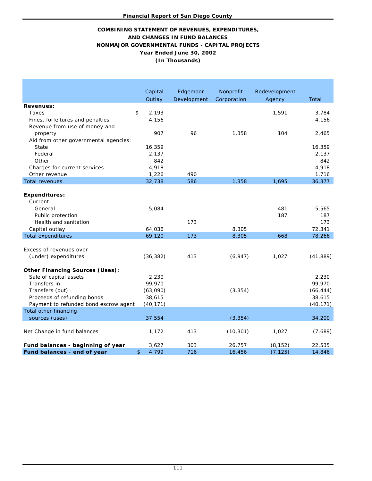# **(In Thousands) Year Ended June 30, 2002 AND CHANGES IN FUND BALANCES NONMAJOR GOVERNMENTAL FUNDS - CAPITAL PROJECTS COMBINING STATEMENT OF REVENUES, EXPENDITURES,**

|                                        | Capital                 | Edgemoor    | Nonprofit   | Redevelopment |                 |
|----------------------------------------|-------------------------|-------------|-------------|---------------|-----------------|
|                                        | Outlay                  | Development | Corporation | Agency        | Total           |
| <b>Revenues:</b>                       |                         |             |             |               |                 |
| Taxes                                  | \$<br>2,193             |             |             | 1,591         | 3,784           |
| Fines, forfeitures and penalties       | 4,156                   |             |             |               | 4,156           |
| Revenue from use of money and          |                         |             |             |               |                 |
| property                               | 907                     | 96          | 1,358       | 104           | 2,465           |
| Aid from other governmental agencies:  |                         |             |             |               |                 |
| State                                  | 16,359                  |             |             |               | 16,359          |
| Federal                                | 2,137                   |             |             |               | 2,137           |
| Other                                  | 842                     |             |             |               | 842             |
| Charges for current services           | 4,918                   |             |             |               | 4,918           |
| Other revenue<br><b>Total revenues</b> | 1,226<br>32,738         | 490<br>586  | 1,358       | 1,695         | 1,716<br>36,377 |
|                                        |                         |             |             |               |                 |
| <b>Expenditures:</b>                   |                         |             |             |               |                 |
| Current:                               |                         |             |             |               |                 |
| General                                | 5,084                   |             |             | 481           | 5,565           |
| Public protection                      |                         |             |             | 187           | 187             |
| Health and sanitation                  |                         | 173         |             |               | 173             |
| Capital outlay                         | 64,036                  |             | 8,305       |               | 72,341          |
| <b>Total expenditures</b>              | 69,120                  | 173         | 8,305       | 668           | 78,266          |
|                                        |                         |             |             |               |                 |
| Excess of revenues over                |                         |             |             |               |                 |
| (under) expenditures                   | (36, 382)               | 413         | (6, 947)    | 1,027         | (41, 889)       |
|                                        |                         |             |             |               |                 |
| <b>Other Financing Sources (Uses):</b> |                         |             |             |               |                 |
| Sale of capital assets                 | 2,230                   |             |             |               | 2,230           |
| Transfers in                           | 99,970                  |             |             |               | 99,970          |
| Transfers (out)                        | (63,090)                |             | (3, 354)    |               | (66, 444)       |
| Proceeds of refunding bonds            | 38,615                  |             |             |               | 38,615          |
| Payment to refunded bond escrow agent  | (40, 171)               |             |             |               | (40, 171)       |
| Total other financing                  |                         |             |             |               |                 |
| sources (uses)                         | 37,554                  |             | (3, 354)    |               | 34,200          |
|                                        |                         |             |             |               |                 |
| Net Change in fund balances            | 1,172                   | 413         | (10, 301)   | 1,027         | (7,689)         |
|                                        |                         |             |             |               |                 |
| Fund balances - beginning of year      | 3,627                   | 303         | 26,757      | (8, 152)      | 22,535          |
| Fund balances - end of year            | $\mathfrak{D}$<br>4,799 | 716         | 16,456      | (7, 125)      | 14,846          |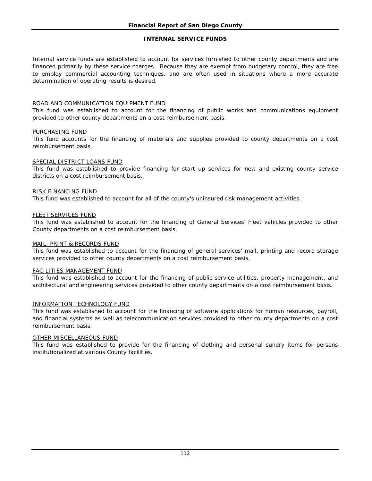### **INTERNAL SERVICE FUNDS**

Internal service funds are established to account for services furnished to other county departments and are financed primarily by these service charges. Because they are exempt from budgetary control, they are free to employ commercial accounting techniques, and are often used in situations where a more accurate determination of operating results is desired.

### ROAD AND COMMUNICATION EQUIPMENT FUND

This fund was established to account for the financing of public works and communications equipment provided to other county departments on a cost reimbursement basis.

### PURCHASING FUND

This fund accounts for the financing of materials and supplies provided to county departments on a cost reimbursement basis.

### SPECIAL DISTRICT LOANS FUND

This fund was established to provide financing for start up services for new and existing county service districts on a cost reimbursement basis.

### RISK FINANCING FUND

This fund was established to account for all of the county's uninsured risk management activities.

### FLEET SERVICES FUND

This fund was established to account for the financing of General Services' Fleet vehicles provided to other County departments on a cost reimbursement basis.

### MAIL, PRINT & RECORDS FUND

This fund was established to account for the financing of general services' mail, printing and record storage services provided to other county departments on a cost reimbursement basis.

### FACILITIES MANAGEMENT FUND

This fund was established to account for the financing of public service utilities, property management, and architectural and engineering services provided to other county departments on a cost reimbursement basis.

### INFORMATION TECHNOLOGY FUND

This fund was established to account for the financing of software applications for human resources, payroll, and financial systems as well as telecommunication services provided to other county departments on a cost reimbursement basis.

### OTHER MISCELLANEOUS FUND

This fund was established to provide for the financing of clothing and personal sundry items for persons institutionalized at various County facilities.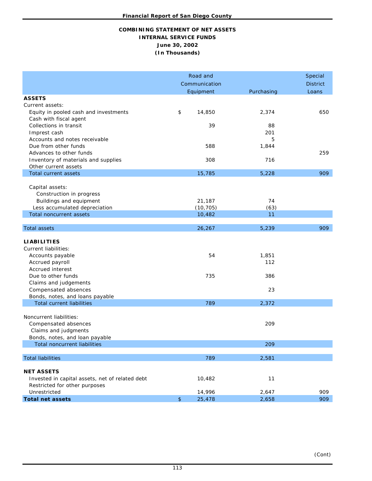### **COMBINING STATEMENT OF NET ASSETS INTERNAL SERVICE FUNDS June 30, 2002 (In Thousands)**

|                                                 | Road and      | Special         |            |       |
|-------------------------------------------------|---------------|-----------------|------------|-------|
|                                                 | Communication | <b>District</b> |            |       |
|                                                 |               | Equipment       | Purchasing | Loans |
| <b>ASSETS</b>                                   |               |                 |            |       |
| Current assets:                                 |               |                 |            |       |
| Equity in pooled cash and investments           | \$            | 14,850          | 2,374      | 650   |
| Cash with fiscal agent                          |               |                 |            |       |
| Collections in transit                          |               | 39              | 88         |       |
| Imprest cash                                    |               |                 | 201        |       |
| Accounts and notes receivable                   |               |                 | 5          |       |
| Due from other funds                            |               | 588             | 1,844      |       |
| Advances to other funds                         |               |                 |            | 259   |
| Inventory of materials and supplies             |               | 308             | 716        |       |
| Other current assets<br>Total current assets    |               | 15,785          | 5,228      | 909   |
|                                                 |               |                 |            |       |
| Capital assets:                                 |               |                 |            |       |
| Construction in progress                        |               |                 |            |       |
| Buildings and equipment                         |               | 21,187          | 74         |       |
| Less accumulated depreciation                   |               | (10, 705)       | (63)       |       |
| <b>Total noncurrent assets</b>                  |               | 10,482          | 11         |       |
|                                                 |               |                 |            |       |
| <b>Total assets</b>                             |               | 26,267          | 5,239      | 909   |
| <b>LIABILITIES</b>                              |               |                 |            |       |
| <b>Current liabilities:</b>                     |               |                 |            |       |
| Accounts payable                                |               | 54              | 1,851      |       |
| Accrued payroll                                 |               |                 | 112        |       |
| Accrued interest                                |               |                 |            |       |
| Due to other funds                              |               | 735             | 386        |       |
| Claims and judgements                           |               |                 |            |       |
| Compensated absences                            |               |                 | 23         |       |
| Bonds, notes, and loans payable                 |               |                 |            |       |
| <b>Total current liabilities</b>                |               | 789             | 2,372      |       |
|                                                 |               |                 |            |       |
| Noncurrent liabilities:                         |               |                 |            |       |
| Compensated absences                            |               |                 | 209        |       |
| Claims and judgments                            |               |                 |            |       |
| Bonds, notes, and loan payable                  |               |                 |            |       |
| Total noncurrent liabilities                    |               |                 | 209        |       |
|                                                 |               |                 |            |       |
| <b>Total liabilities</b>                        |               | 789             | 2,581      |       |
| <b>NET ASSETS</b>                               |               |                 |            |       |
| Invested in capital assets, net of related debt |               | 10,482          | 11         |       |
| Restricted for other purposes                   |               |                 |            |       |
| Unrestricted                                    |               | 14,996          | 2,647      | 909   |
| <b>Total net assets</b>                         | $\,$          | 25,478          | 2,658      | 909   |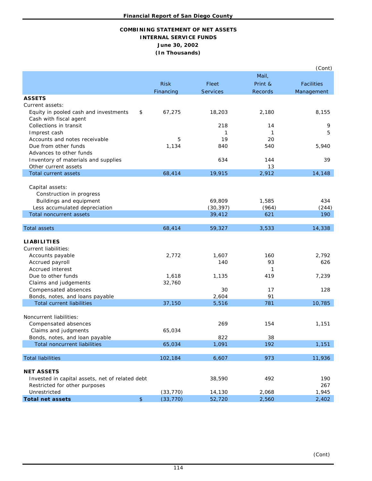# **COMBINING STATEMENT OF NET ASSETS INTERNAL SERVICE FUNDS June 30, 2002 (In Thousands)**

|                                                 |      |             |                 |         | (Cont)            |
|-------------------------------------------------|------|-------------|-----------------|---------|-------------------|
|                                                 |      |             |                 | Mail,   |                   |
|                                                 |      | <b>Risk</b> | Fleet           | Print & | <b>Facilities</b> |
|                                                 |      | Financing   | <b>Services</b> | Records | Management        |
| <b>ASSETS</b>                                   |      |             |                 |         |                   |
| Current assets:                                 |      |             |                 |         |                   |
| Equity in pooled cash and investments           | \$   | 67,275      | 18,203          | 2,180   | 8,155             |
| Cash with fiscal agent                          |      |             |                 |         |                   |
| Collections in transit                          |      |             | 218             | 14      | 9                 |
| Imprest cash                                    |      |             | 1               | 1       | 5                 |
| Accounts and notes receivable                   |      | 5           | 19              | 20      |                   |
| Due from other funds                            |      | 1,134       |                 | 540     |                   |
|                                                 |      |             | 840             |         | 5,940             |
| Advances to other funds                         |      |             |                 |         |                   |
| Inventory of materials and supplies             |      |             | 634             | 144     | 39                |
| Other current assets                            |      |             |                 | 13      |                   |
| Total current assets                            |      | 68,414      | 19,915          | 2,912   | 14,148            |
|                                                 |      |             |                 |         |                   |
| Capital assets:                                 |      |             |                 |         |                   |
| Construction in progress                        |      |             |                 |         |                   |
| Buildings and equipment                         |      |             | 69,809          | 1,585   | 434               |
| Less accumulated depreciation                   |      |             | (30, 397)       | (964)   | (244)             |
| <b>Total noncurrent assets</b>                  |      |             | 39,412          | 621     | 190               |
|                                                 |      |             |                 |         |                   |
| <b>Total assets</b>                             |      | 68,414      | 59,327          | 3,533   | 14,338            |
|                                                 |      |             |                 |         |                   |
| <b>LIABILITIES</b>                              |      |             |                 |         |                   |
| <b>Current liabilities:</b>                     |      |             |                 |         |                   |
| Accounts payable                                |      | 2,772       | 1,607           | 160     | 2,792             |
| Accrued payroll                                 |      |             | 140             | 93      | 626               |
| Accrued interest                                |      |             |                 | 1       |                   |
| Due to other funds                              |      | 1,618       | 1,135           | 419     | 7,239             |
| Claims and judgements                           |      | 32,760      |                 |         |                   |
| Compensated absences                            |      |             | 30              | 17      | 128               |
| Bonds, notes, and loans payable                 |      |             | 2,604           | 91      |                   |
| <b>Total current liabilities</b>                |      | 37,150      | 5,516           | 781     | 10,785            |
|                                                 |      |             |                 |         |                   |
| Noncurrent liabilities:                         |      |             |                 |         |                   |
| Compensated absences                            |      |             | 269             | 154     | 1,151             |
| Claims and judgments                            |      | 65,034      |                 |         |                   |
| Bonds, notes, and loan payable                  |      |             | 822             | 38      |                   |
| <b>Total noncurrent liabilities</b>             |      | 65,034      | 1,091           | 192     | 1,151             |
|                                                 |      |             |                 |         |                   |
| <b>Total liabilities</b>                        |      | 102,184     | 6,607           | 973     | 11,936            |
|                                                 |      |             |                 |         |                   |
| <b>NET ASSETS</b>                               |      |             |                 |         |                   |
| Invested in capital assets, net of related debt |      |             | 38,590          | 492     | 190               |
| Restricted for other purposes                   |      |             |                 |         | 267               |
| Unrestricted                                    |      | (33, 770)   | 14,130          | 2,068   | 1,945             |
| <b>Total net assets</b>                         | $\,$ | (33, 770)   | 52,720          | 2,560   | 2,402             |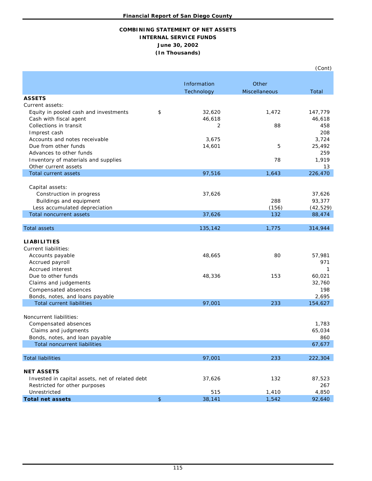### **COMBINING STATEMENT OF NET ASSETS INTERNAL SERVICE FUNDS June 30, 2002 (In Thousands)**

|                                                 |               |             |               | (Cont)    |
|-------------------------------------------------|---------------|-------------|---------------|-----------|
|                                                 |               |             |               |           |
|                                                 |               | Information | Other         |           |
|                                                 |               | Technology  | Miscellaneous | Total     |
| <b>ASSETS</b>                                   |               |             |               |           |
| Current assets:                                 |               |             |               |           |
| Equity in pooled cash and investments           | \$            | 32,620      | 1,472         | 147,779   |
| Cash with fiscal agent                          |               | 46,618      |               | 46,618    |
| Collections in transit                          |               | 2           | 88            | 458       |
| Imprest cash                                    |               |             |               | 208       |
| Accounts and notes receivable                   |               | 3,675       |               | 3,724     |
| Due from other funds                            |               | 14,601      | 5             | 25,492    |
| Advances to other funds                         |               |             |               | 259       |
| Inventory of materials and supplies             |               |             | 78            | 1,919     |
| Other current assets                            |               |             |               | 13        |
| Total current assets                            |               | 97,516      | 1,643         | 226,470   |
| Capital assets:                                 |               |             |               |           |
| Construction in progress                        |               | 37,626      |               | 37,626    |
| Buildings and equipment                         |               |             | 288           | 93,377    |
| Less accumulated depreciation                   |               |             | (156)         | (42, 529) |
| <b>Total noncurrent assets</b>                  |               | 37,626      | 132           | 88,474    |
|                                                 |               |             |               |           |
| <b>Total assets</b>                             |               | 135,142     | 1,775         | 314,944   |
|                                                 |               |             |               |           |
| <b>LIABILITIES</b>                              |               |             |               |           |
| Current liabilities:                            |               |             |               |           |
| Accounts payable                                |               | 48,665      | 80            | 57,981    |
| Accrued payroll                                 |               |             |               | 971       |
| Accrued interest                                |               |             |               | 1         |
| Due to other funds                              |               | 48,336      | 153           | 60,021    |
| Claims and judgements                           |               |             |               | 32,760    |
| Compensated absences                            |               |             |               | 198       |
| Bonds, notes, and loans payable                 |               |             |               | 2,695     |
| <b>Total current liabilities</b>                |               | 97,001      | 233           | 154,627   |
| Noncurrent liabilities:                         |               |             |               |           |
| Compensated absences                            |               |             |               | 1,783     |
| Claims and judgments                            |               |             |               | 65,034    |
| Bonds, notes, and loan payable                  |               |             |               | 860       |
| <b>Total noncurrent liabilities</b>             |               |             |               | 67,677    |
|                                                 |               |             |               |           |
| <b>Total liabilities</b>                        |               | 97,001      | 233           | 222,304   |
|                                                 |               |             |               |           |
| <b>NET ASSETS</b>                               |               |             |               |           |
| Invested in capital assets, net of related debt |               | 37,626      | 132           | 87,523    |
| Restricted for other purposes                   |               |             |               | 267       |
| Unrestricted                                    |               | 515         | 1,410         | 4,850     |
| <b>Total net assets</b>                         | $\frac{1}{2}$ | 38,141      | 1,542         | 92,640    |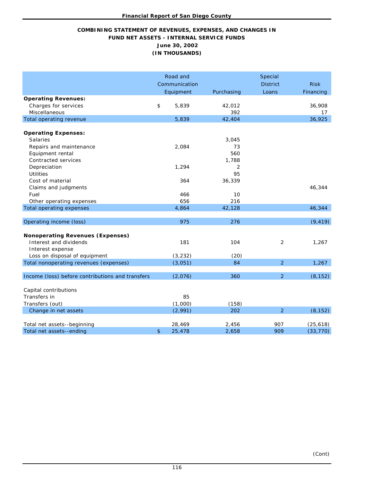# **COMBINING STATEMENT OF REVENUES, EXPENSES, AND CHANGES IN FUND NET ASSETS - INTERNAL SERVICE FUNDS June 30, 2002 (IN THOUSANDS)**

|                                                                                                                        |      | Road and<br>Communication |                    | Special<br><b>District</b> | <b>Risk</b>            |
|------------------------------------------------------------------------------------------------------------------------|------|---------------------------|--------------------|----------------------------|------------------------|
|                                                                                                                        |      | Equipment                 | Purchasing         | Loans                      | Financing              |
| <b>Operating Revenues:</b><br>Charges for services<br>Miscellaneous                                                    | $\,$ | 5,839                     | 42,012<br>392      |                            | 36,908<br>17           |
| Total operating revenue                                                                                                |      | 5,839                     | 42,404             |                            | 36,925                 |
| <b>Operating Expenses:</b><br><b>Salaries</b>                                                                          |      |                           | 3,045              |                            |                        |
| Repairs and maintenance<br>Equipment rental<br>Contracted services                                                     |      | 2,084                     | 73<br>560<br>1,788 |                            |                        |
| Depreciation<br><b>Utilities</b>                                                                                       |      | 1,294                     | 2<br>95            |                            |                        |
| Cost of material<br>Claims and judgments<br>Fuel                                                                       |      | 364<br>466                | 36,339<br>10       |                            | 46,344                 |
| Other operating expenses<br><b>Total operating expenses</b>                                                            |      | 656<br>4,864              | 216<br>42,128      |                            | 46,344                 |
| Operating income (loss)                                                                                                |      | 975                       | 276                |                            | (9, 419)               |
| <b>Nonoperating Revenues (Expenses)</b><br>Interest and dividends<br>Interest expense<br>Loss on disposal of equipment |      | 181<br>(3, 232)           | 104<br>(20)        | 2                          | 1,267                  |
| Total nonoperating revenues (expenses)                                                                                 |      | (3,051)                   | 84                 | 2                          | 1,267                  |
| Income (loss) before contributions and transfers                                                                       |      | (2,076)                   | 360                | $\overline{2}$             | (8, 152)               |
| Capital contributions<br>Transfers in<br>Transfers (out)                                                               |      | 85<br>(1,000)             | (158)              |                            |                        |
| Change in net assets                                                                                                   |      | (2,991)                   | 202                | $\overline{2}$             | (8, 152)               |
| Total net assets--beginning<br>Total net assets--ending                                                                | \$   | 28,469<br>25,478          | 2,456<br>2,658     | 907<br>909                 | (25, 618)<br>(33, 770) |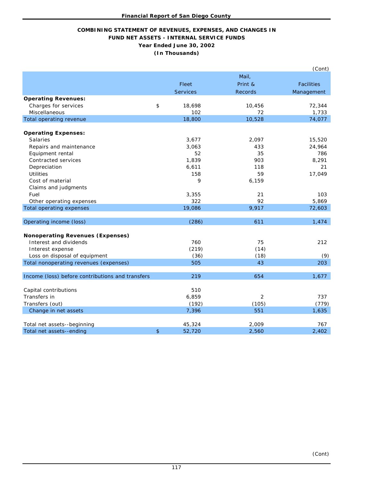### **COMBINING STATEMENT OF REVENUES, EXPENSES, AND CHANGES IN FUND NET ASSETS - INTERNAL SERVICE FUNDS Year Ended June 30, 2002 (In Thousands)**

|                                                  |                |                 |                | (Cont)            |
|--------------------------------------------------|----------------|-----------------|----------------|-------------------|
|                                                  |                |                 | Mail,          |                   |
|                                                  |                | Fleet           | Print &        | <b>Facilities</b> |
|                                                  |                | <b>Services</b> | Records        | Management        |
| <b>Operating Revenues:</b>                       |                |                 |                |                   |
| Charges for services                             | \$             | 18,698          | 10,456         | 72,344            |
| Miscellaneous                                    |                | 102             | 72             | 1,733             |
| Total operating revenue                          |                | 18,800          | 10,528         | 74,077            |
|                                                  |                |                 |                |                   |
| <b>Operating Expenses:</b>                       |                |                 |                |                   |
| <b>Salaries</b>                                  |                | 3,677           | 2,097          | 15,520            |
| Repairs and maintenance                          |                | 3,063           | 433            | 24,964            |
| Equipment rental                                 |                | 52              | 35             | 786               |
| Contracted services                              |                | 1,839           | 903            | 8,291             |
| Depreciation                                     |                | 6,611           | 118            | 21                |
| <b>Utilities</b>                                 |                | 158             | 59             | 17,049            |
| Cost of material                                 |                | 9               | 6,159          |                   |
| Claims and judgments                             |                |                 |                |                   |
| Fuel                                             |                | 3,355           | 21             | 103               |
| Other operating expenses                         |                | 322             | 92             | 5,869             |
| Total operating expenses                         |                | 19,086          | 9,917          | 72,603            |
|                                                  |                |                 |                |                   |
| Operating income (loss)                          |                | (286)           | 611            | 1,474             |
| <b>Nonoperating Revenues (Expenses)</b>          |                |                 |                |                   |
| Interest and dividends                           |                | 760             | 75             | 212               |
| Interest expense                                 |                | (219)           | (14)           |                   |
| Loss on disposal of equipment                    |                | (36)            | (18)           | (9)               |
| Total nonoperating revenues (expenses)           |                | 505             | 43             | 203               |
|                                                  |                |                 |                |                   |
| Income (loss) before contributions and transfers |                | 219             | 654            | 1,677             |
| Capital contributions                            |                | 510             |                |                   |
| Transfers in                                     |                | 6,859           | $\overline{2}$ | 737               |
| Transfers (out)                                  |                | (192)           | (105)          | (779)             |
| Change in net assets                             |                | 7,396           | 551            | 1,635             |
|                                                  |                |                 |                |                   |
| Total net assets--beginning                      |                | 45,324          | 2,009          | 767               |
| Total net assets--ending                         | $\mathfrak{D}$ | 52,720          | 2,560          | 2,402             |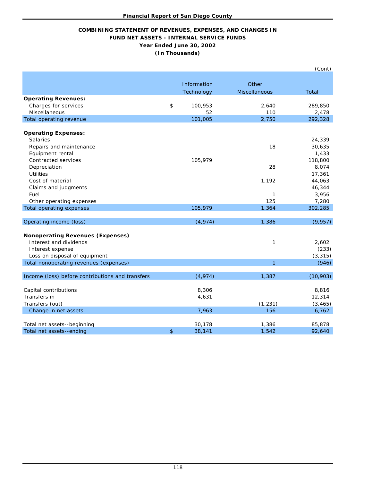### **COMBINING STATEMENT OF REVENUES, EXPENSES, AND CHANGES IN FUND NET ASSETS - INTERNAL SERVICE FUNDS Year Ended June 30, 2002 (In Thousands)**

|                                                  |               |                | (Cont)    |
|--------------------------------------------------|---------------|----------------|-----------|
|                                                  | Information   | Other          |           |
|                                                  | Technology    | Miscellaneous  | Total     |
| <b>Operating Revenues:</b>                       |               |                |           |
| Charges for services                             | \$<br>100,953 | 2,640          | 289,850   |
| Miscellaneous                                    | 52            | 110            | 2,478     |
| Total operating revenue                          | 101,005       | 2,750          | 292,328   |
|                                                  |               |                |           |
| <b>Operating Expenses:</b>                       |               |                |           |
| <b>Salaries</b>                                  |               |                | 24,339    |
| Repairs and maintenance                          |               | 18             | 30,635    |
| Equipment rental                                 |               |                | 1,433     |
| Contracted services                              | 105,979       |                | 118,800   |
| Depreciation                                     |               | 28             | 8,074     |
| <b>Utilities</b>                                 |               |                | 17,361    |
| Cost of material                                 |               | 1,192          | 44,063    |
| Claims and judgments                             |               |                | 46,344    |
| Fuel                                             |               | $\mathbf{1}$   | 3,956     |
| Other operating expenses                         |               | 125            | 7,280     |
| <b>Total operating expenses</b>                  | 105,979       | 1,364          | 302,285   |
| Operating income (loss)                          | (4, 974)      | 1,386          | (9, 957)  |
| <b>Nonoperating Revenues (Expenses)</b>          |               |                |           |
| Interest and dividends                           |               | $\mathbf{1}$   | 2,602     |
| Interest expense                                 |               |                | (233)     |
| Loss on disposal of equipment                    |               |                | (3, 315)  |
| Total nonoperating revenues (expenses)           |               | $\overline{1}$ | (946)     |
| Income (loss) before contributions and transfers | (4, 974)      | 1,387          | (10, 903) |
| Capital contributions                            | 8,306         |                | 8,816     |
| Transfers in                                     | 4,631         |                | 12,314    |
|                                                  |               |                |           |
| Transfers (out)                                  |               | (1, 231)       | (3, 465)  |
| Change in net assets                             | 7,963         | 156            | 6,762     |
| Total net assets--beginning                      | 30,178        | 1,386          | 85,878    |
| Total net assets--ending                         | \$<br>38,141  | 1,542          | 92,640    |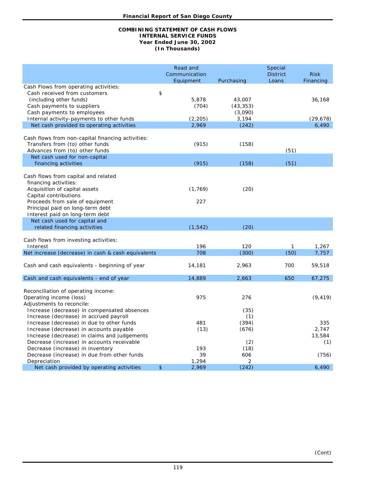#### **COMBINING STATEMENT OF CASH FLOWS Year Ended June 30, 2002 INTERNAL SERVICE FUNDS (In Thousands)**

| Cash Flows from operating activities:<br>\$<br>Cash received from customers<br>5,878<br>(including other funds)<br>43,007<br>36,168<br>(704)<br>Cash payments to suppliers<br>(43, 353)<br>Cash payments to employees<br>(3,090)<br>(2, 205)<br>3,194<br>Internal activity-payments to other funds<br>(29, 678)<br>2,969<br>6,490<br>Net cash provided to operating activities<br>(242)<br>Cash flows from non-capital financing activities:<br>(915)<br>Transfers from (to) other funds<br>(158)<br>(51)<br>Advances from (to) other funds<br>Net cash used for non-capital<br>(915)<br>(158)<br>(51)<br>financing activities<br>Cash flows from capital and related<br>financing activities:<br>Acquisition of capital assets<br>(1, 769)<br>(20)<br>Capital contributions<br>227<br>Proceeds from sale of equipment<br>Principal paid on long-term debt<br>Interest paid on long-term debt<br>Net cash used for capital and<br>(1, 542)<br>(20)<br>related financing activities<br>Cash flows from investing activities:<br>196<br>120<br>1,267<br>Interest<br>$\mathbf{1}$<br>Net increase (decrease) in cash & cash equivalents<br>708<br>(300)<br>7,757<br>(50)<br>14,181<br>2,963<br>700<br>59,518<br>Cash and cash equivalents - beginning of year<br>Cash and cash equivalents - end of year<br>14,889<br>2,663<br>650<br>67,275<br>Reconciliation of operating income:<br>Operating income (loss)<br>975<br>276<br>(9, 419)<br>Adjustments to reconcile:<br>Increase (decrease) in compensated absences<br>(35)<br>Increase (decrease) in accrued payroll<br>(1)<br>481<br>(394)<br>335<br>Increase (decrease) in due to other funds<br>(13)<br>(676)<br>2,747<br>Increase (decrease) in accounts payable<br>13,584<br>Increase (decrease) in claims and judgements<br>Decrease (increase) in accounts receivable<br>(2)<br>(1) |  | Road and<br>Communication<br>Equipment | Purchasing | Special<br><b>District</b><br>Loans | <b>Risk</b><br>Financing |
|-------------------------------------------------------------------------------------------------------------------------------------------------------------------------------------------------------------------------------------------------------------------------------------------------------------------------------------------------------------------------------------------------------------------------------------------------------------------------------------------------------------------------------------------------------------------------------------------------------------------------------------------------------------------------------------------------------------------------------------------------------------------------------------------------------------------------------------------------------------------------------------------------------------------------------------------------------------------------------------------------------------------------------------------------------------------------------------------------------------------------------------------------------------------------------------------------------------------------------------------------------------------------------------------------------------------------------------------------------------------------------------------------------------------------------------------------------------------------------------------------------------------------------------------------------------------------------------------------------------------------------------------------------------------------------------------------------------------------------------------------------------------------------------------------------------------------------------------|--|----------------------------------------|------------|-------------------------------------|--------------------------|
|                                                                                                                                                                                                                                                                                                                                                                                                                                                                                                                                                                                                                                                                                                                                                                                                                                                                                                                                                                                                                                                                                                                                                                                                                                                                                                                                                                                                                                                                                                                                                                                                                                                                                                                                                                                                                                           |  |                                        |            |                                     |                          |
|                                                                                                                                                                                                                                                                                                                                                                                                                                                                                                                                                                                                                                                                                                                                                                                                                                                                                                                                                                                                                                                                                                                                                                                                                                                                                                                                                                                                                                                                                                                                                                                                                                                                                                                                                                                                                                           |  |                                        |            |                                     |                          |
|                                                                                                                                                                                                                                                                                                                                                                                                                                                                                                                                                                                                                                                                                                                                                                                                                                                                                                                                                                                                                                                                                                                                                                                                                                                                                                                                                                                                                                                                                                                                                                                                                                                                                                                                                                                                                                           |  |                                        |            |                                     |                          |
|                                                                                                                                                                                                                                                                                                                                                                                                                                                                                                                                                                                                                                                                                                                                                                                                                                                                                                                                                                                                                                                                                                                                                                                                                                                                                                                                                                                                                                                                                                                                                                                                                                                                                                                                                                                                                                           |  |                                        |            |                                     |                          |
|                                                                                                                                                                                                                                                                                                                                                                                                                                                                                                                                                                                                                                                                                                                                                                                                                                                                                                                                                                                                                                                                                                                                                                                                                                                                                                                                                                                                                                                                                                                                                                                                                                                                                                                                                                                                                                           |  |                                        |            |                                     |                          |
|                                                                                                                                                                                                                                                                                                                                                                                                                                                                                                                                                                                                                                                                                                                                                                                                                                                                                                                                                                                                                                                                                                                                                                                                                                                                                                                                                                                                                                                                                                                                                                                                                                                                                                                                                                                                                                           |  |                                        |            |                                     |                          |
|                                                                                                                                                                                                                                                                                                                                                                                                                                                                                                                                                                                                                                                                                                                                                                                                                                                                                                                                                                                                                                                                                                                                                                                                                                                                                                                                                                                                                                                                                                                                                                                                                                                                                                                                                                                                                                           |  |                                        |            |                                     |                          |
|                                                                                                                                                                                                                                                                                                                                                                                                                                                                                                                                                                                                                                                                                                                                                                                                                                                                                                                                                                                                                                                                                                                                                                                                                                                                                                                                                                                                                                                                                                                                                                                                                                                                                                                                                                                                                                           |  |                                        |            |                                     |                          |
|                                                                                                                                                                                                                                                                                                                                                                                                                                                                                                                                                                                                                                                                                                                                                                                                                                                                                                                                                                                                                                                                                                                                                                                                                                                                                                                                                                                                                                                                                                                                                                                                                                                                                                                                                                                                                                           |  |                                        |            |                                     |                          |
|                                                                                                                                                                                                                                                                                                                                                                                                                                                                                                                                                                                                                                                                                                                                                                                                                                                                                                                                                                                                                                                                                                                                                                                                                                                                                                                                                                                                                                                                                                                                                                                                                                                                                                                                                                                                                                           |  |                                        |            |                                     |                          |
|                                                                                                                                                                                                                                                                                                                                                                                                                                                                                                                                                                                                                                                                                                                                                                                                                                                                                                                                                                                                                                                                                                                                                                                                                                                                                                                                                                                                                                                                                                                                                                                                                                                                                                                                                                                                                                           |  |                                        |            |                                     |                          |
|                                                                                                                                                                                                                                                                                                                                                                                                                                                                                                                                                                                                                                                                                                                                                                                                                                                                                                                                                                                                                                                                                                                                                                                                                                                                                                                                                                                                                                                                                                                                                                                                                                                                                                                                                                                                                                           |  |                                        |            |                                     |                          |
|                                                                                                                                                                                                                                                                                                                                                                                                                                                                                                                                                                                                                                                                                                                                                                                                                                                                                                                                                                                                                                                                                                                                                                                                                                                                                                                                                                                                                                                                                                                                                                                                                                                                                                                                                                                                                                           |  |                                        |            |                                     |                          |
|                                                                                                                                                                                                                                                                                                                                                                                                                                                                                                                                                                                                                                                                                                                                                                                                                                                                                                                                                                                                                                                                                                                                                                                                                                                                                                                                                                                                                                                                                                                                                                                                                                                                                                                                                                                                                                           |  |                                        |            |                                     |                          |
|                                                                                                                                                                                                                                                                                                                                                                                                                                                                                                                                                                                                                                                                                                                                                                                                                                                                                                                                                                                                                                                                                                                                                                                                                                                                                                                                                                                                                                                                                                                                                                                                                                                                                                                                                                                                                                           |  |                                        |            |                                     |                          |
|                                                                                                                                                                                                                                                                                                                                                                                                                                                                                                                                                                                                                                                                                                                                                                                                                                                                                                                                                                                                                                                                                                                                                                                                                                                                                                                                                                                                                                                                                                                                                                                                                                                                                                                                                                                                                                           |  |                                        |            |                                     |                          |
|                                                                                                                                                                                                                                                                                                                                                                                                                                                                                                                                                                                                                                                                                                                                                                                                                                                                                                                                                                                                                                                                                                                                                                                                                                                                                                                                                                                                                                                                                                                                                                                                                                                                                                                                                                                                                                           |  |                                        |            |                                     |                          |
|                                                                                                                                                                                                                                                                                                                                                                                                                                                                                                                                                                                                                                                                                                                                                                                                                                                                                                                                                                                                                                                                                                                                                                                                                                                                                                                                                                                                                                                                                                                                                                                                                                                                                                                                                                                                                                           |  |                                        |            |                                     |                          |
|                                                                                                                                                                                                                                                                                                                                                                                                                                                                                                                                                                                                                                                                                                                                                                                                                                                                                                                                                                                                                                                                                                                                                                                                                                                                                                                                                                                                                                                                                                                                                                                                                                                                                                                                                                                                                                           |  |                                        |            |                                     |                          |
|                                                                                                                                                                                                                                                                                                                                                                                                                                                                                                                                                                                                                                                                                                                                                                                                                                                                                                                                                                                                                                                                                                                                                                                                                                                                                                                                                                                                                                                                                                                                                                                                                                                                                                                                                                                                                                           |  |                                        |            |                                     |                          |
|                                                                                                                                                                                                                                                                                                                                                                                                                                                                                                                                                                                                                                                                                                                                                                                                                                                                                                                                                                                                                                                                                                                                                                                                                                                                                                                                                                                                                                                                                                                                                                                                                                                                                                                                                                                                                                           |  |                                        |            |                                     |                          |
|                                                                                                                                                                                                                                                                                                                                                                                                                                                                                                                                                                                                                                                                                                                                                                                                                                                                                                                                                                                                                                                                                                                                                                                                                                                                                                                                                                                                                                                                                                                                                                                                                                                                                                                                                                                                                                           |  |                                        |            |                                     |                          |
|                                                                                                                                                                                                                                                                                                                                                                                                                                                                                                                                                                                                                                                                                                                                                                                                                                                                                                                                                                                                                                                                                                                                                                                                                                                                                                                                                                                                                                                                                                                                                                                                                                                                                                                                                                                                                                           |  |                                        |            |                                     |                          |
|                                                                                                                                                                                                                                                                                                                                                                                                                                                                                                                                                                                                                                                                                                                                                                                                                                                                                                                                                                                                                                                                                                                                                                                                                                                                                                                                                                                                                                                                                                                                                                                                                                                                                                                                                                                                                                           |  |                                        |            |                                     |                          |
|                                                                                                                                                                                                                                                                                                                                                                                                                                                                                                                                                                                                                                                                                                                                                                                                                                                                                                                                                                                                                                                                                                                                                                                                                                                                                                                                                                                                                                                                                                                                                                                                                                                                                                                                                                                                                                           |  |                                        |            |                                     |                          |
|                                                                                                                                                                                                                                                                                                                                                                                                                                                                                                                                                                                                                                                                                                                                                                                                                                                                                                                                                                                                                                                                                                                                                                                                                                                                                                                                                                                                                                                                                                                                                                                                                                                                                                                                                                                                                                           |  |                                        |            |                                     |                          |
|                                                                                                                                                                                                                                                                                                                                                                                                                                                                                                                                                                                                                                                                                                                                                                                                                                                                                                                                                                                                                                                                                                                                                                                                                                                                                                                                                                                                                                                                                                                                                                                                                                                                                                                                                                                                                                           |  |                                        |            |                                     |                          |
|                                                                                                                                                                                                                                                                                                                                                                                                                                                                                                                                                                                                                                                                                                                                                                                                                                                                                                                                                                                                                                                                                                                                                                                                                                                                                                                                                                                                                                                                                                                                                                                                                                                                                                                                                                                                                                           |  |                                        |            |                                     |                          |
|                                                                                                                                                                                                                                                                                                                                                                                                                                                                                                                                                                                                                                                                                                                                                                                                                                                                                                                                                                                                                                                                                                                                                                                                                                                                                                                                                                                                                                                                                                                                                                                                                                                                                                                                                                                                                                           |  |                                        |            |                                     |                          |
|                                                                                                                                                                                                                                                                                                                                                                                                                                                                                                                                                                                                                                                                                                                                                                                                                                                                                                                                                                                                                                                                                                                                                                                                                                                                                                                                                                                                                                                                                                                                                                                                                                                                                                                                                                                                                                           |  |                                        |            |                                     |                          |
|                                                                                                                                                                                                                                                                                                                                                                                                                                                                                                                                                                                                                                                                                                                                                                                                                                                                                                                                                                                                                                                                                                                                                                                                                                                                                                                                                                                                                                                                                                                                                                                                                                                                                                                                                                                                                                           |  |                                        |            |                                     |                          |
|                                                                                                                                                                                                                                                                                                                                                                                                                                                                                                                                                                                                                                                                                                                                                                                                                                                                                                                                                                                                                                                                                                                                                                                                                                                                                                                                                                                                                                                                                                                                                                                                                                                                                                                                                                                                                                           |  |                                        |            |                                     |                          |
|                                                                                                                                                                                                                                                                                                                                                                                                                                                                                                                                                                                                                                                                                                                                                                                                                                                                                                                                                                                                                                                                                                                                                                                                                                                                                                                                                                                                                                                                                                                                                                                                                                                                                                                                                                                                                                           |  |                                        |            |                                     |                          |
|                                                                                                                                                                                                                                                                                                                                                                                                                                                                                                                                                                                                                                                                                                                                                                                                                                                                                                                                                                                                                                                                                                                                                                                                                                                                                                                                                                                                                                                                                                                                                                                                                                                                                                                                                                                                                                           |  |                                        |            |                                     |                          |
|                                                                                                                                                                                                                                                                                                                                                                                                                                                                                                                                                                                                                                                                                                                                                                                                                                                                                                                                                                                                                                                                                                                                                                                                                                                                                                                                                                                                                                                                                                                                                                                                                                                                                                                                                                                                                                           |  |                                        |            |                                     |                          |
|                                                                                                                                                                                                                                                                                                                                                                                                                                                                                                                                                                                                                                                                                                                                                                                                                                                                                                                                                                                                                                                                                                                                                                                                                                                                                                                                                                                                                                                                                                                                                                                                                                                                                                                                                                                                                                           |  |                                        |            |                                     |                          |
|                                                                                                                                                                                                                                                                                                                                                                                                                                                                                                                                                                                                                                                                                                                                                                                                                                                                                                                                                                                                                                                                                                                                                                                                                                                                                                                                                                                                                                                                                                                                                                                                                                                                                                                                                                                                                                           |  |                                        |            |                                     |                          |
|                                                                                                                                                                                                                                                                                                                                                                                                                                                                                                                                                                                                                                                                                                                                                                                                                                                                                                                                                                                                                                                                                                                                                                                                                                                                                                                                                                                                                                                                                                                                                                                                                                                                                                                                                                                                                                           |  |                                        |            |                                     |                          |
| 193                                                                                                                                                                                                                                                                                                                                                                                                                                                                                                                                                                                                                                                                                                                                                                                                                                                                                                                                                                                                                                                                                                                                                                                                                                                                                                                                                                                                                                                                                                                                                                                                                                                                                                                                                                                                                                       |  |                                        |            |                                     |                          |
| Decrease (increase) in inventory<br>(18)<br>39                                                                                                                                                                                                                                                                                                                                                                                                                                                                                                                                                                                                                                                                                                                                                                                                                                                                                                                                                                                                                                                                                                                                                                                                                                                                                                                                                                                                                                                                                                                                                                                                                                                                                                                                                                                            |  |                                        |            |                                     |                          |
| Decrease (increase) in due from other funds<br>606<br>(756)<br>1,294<br>2<br>Depreciation                                                                                                                                                                                                                                                                                                                                                                                                                                                                                                                                                                                                                                                                                                                                                                                                                                                                                                                                                                                                                                                                                                                                                                                                                                                                                                                                                                                                                                                                                                                                                                                                                                                                                                                                                 |  |                                        |            |                                     |                          |
| 6.490<br>Net cash provided by operating activities<br>\$<br>2,969<br>(242)                                                                                                                                                                                                                                                                                                                                                                                                                                                                                                                                                                                                                                                                                                                                                                                                                                                                                                                                                                                                                                                                                                                                                                                                                                                                                                                                                                                                                                                                                                                                                                                                                                                                                                                                                                |  |                                        |            |                                     |                          |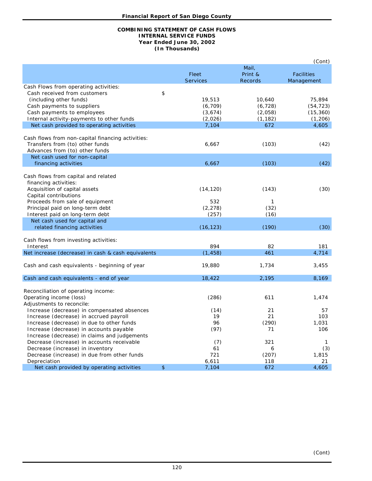#### **COMBINING STATEMENT OF CASH FLOWS Year Ended June 30, 2002 INTERNAL SERVICE FUNDS (In Thousands)**

|                                                    |                 |                | (Cont)            |
|----------------------------------------------------|-----------------|----------------|-------------------|
|                                                    |                 | Mail,          |                   |
|                                                    | Fleet           | Print &        | <b>Facilities</b> |
|                                                    | <b>Services</b> | <b>Records</b> | Management        |
| Cash Flows from operating activities:              |                 |                |                   |
| Cash received from customers                       | \$              |                |                   |
| (including other funds)                            | 19,513          | 10,640         | 75,894            |
| Cash payments to suppliers                         | (6, 709)        | (6, 728)       | (54, 723)         |
|                                                    |                 |                | (15, 360)         |
| Cash payments to employees                         | (3,674)         | (2,058)        |                   |
| Internal activity-payments to other funds          | (2,026)         | (1, 182)       | (1, 206)          |
| Net cash provided to operating activities          | 7,104           | 672            | 4,605             |
|                                                    |                 |                |                   |
| Cash flows from non-capital financing activities:  |                 |                |                   |
| Transfers from (to) other funds                    | 6,667           | (103)          | (42)              |
| Advances from (to) other funds                     |                 |                |                   |
| Net cash used for non-capital                      |                 |                |                   |
| financing activities                               | 6,667           | (103)          | (42)              |
|                                                    |                 |                |                   |
| Cash flows from capital and related                |                 |                |                   |
| financing activities:                              |                 |                |                   |
| Acquisition of capital assets                      | (14, 120)       | (143)          | (30)              |
| Capital contributions                              |                 |                |                   |
| Proceeds from sale of equipment                    | 532             | 1              |                   |
| Principal paid on long-term debt                   | (2, 278)        | (32)           |                   |
| Interest paid on long-term debt                    | (257)           | (16)           |                   |
| Net cash used for capital and                      |                 |                |                   |
| related financing activities                       | (16, 123)       | (190)          | (30)              |
|                                                    |                 |                |                   |
| Cash flows from investing activities:              |                 |                |                   |
| Interest                                           | 894             | 82             | 181               |
| Net increase (decrease) in cash & cash equivalents | (1, 458)        | 461            | 4,714             |
|                                                    |                 |                |                   |
| Cash and cash equivalents - beginning of year      | 19,880          | 1,734          | 3,455             |
|                                                    |                 |                |                   |
| Cash and cash equivalents - end of year            | 18,422          | 2,195          | 8,169             |
|                                                    |                 |                |                   |
| Reconciliation of operating income:                |                 |                |                   |
| Operating income (loss)                            | (286)           | 611            | 1,474             |
| Adjustments to reconcile:                          |                 |                |                   |
| Increase (decrease) in compensated absences        | (14)            | 21             | 57                |
| Increase (decrease) in accrued payroll             | 19              | 21             | 103               |
| Increase (decrease) in due to other funds          | 96              | (290)          | 1,031             |
| Increase (decrease) in accounts payable            | (97)            | 71             | 106               |
| Increase (decrease) in claims and judgements       |                 |                |                   |
| Decrease (increase) in accounts receivable         | (7)             | 321            | 1                 |
| Decrease (increase) in inventory                   | 61              | 6              | (3)               |
| Decrease (increase) in due from other funds        | 721             | (207)          | 1,815             |
| Depreciation                                       | 6,611           | 118            | 21                |
| Net cash provided by operating activities          | \$<br>7,104     | 672            | 4.605             |
|                                                    |                 |                |                   |